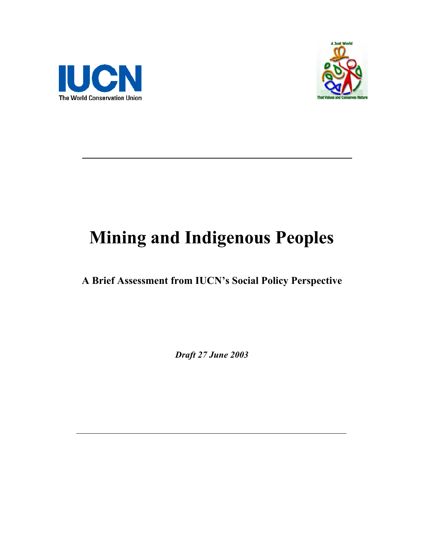



# **Mining and Indigenous Peoples**

**A Brief Assessment from IUCN's Social Policy Perspective** 

*Draft 27 June 2003*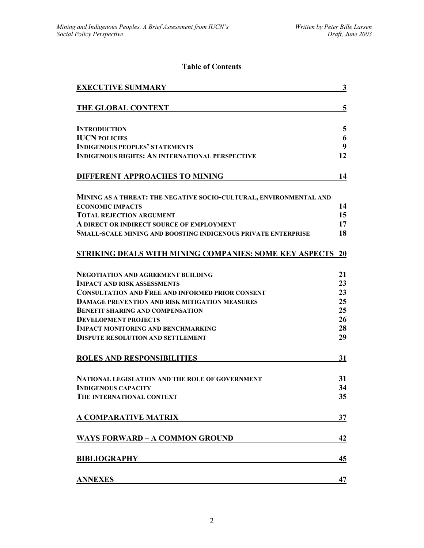# **Table of Contents**

| <b>EXECUTIVE SUMMARY</b>                                             | 3                |
|----------------------------------------------------------------------|------------------|
| THE GLOBAL CONTEXT                                                   | 5                |
| <b>INTRODUCTION</b>                                                  | 5                |
| <b>IUCN POLICIES</b>                                                 | 6                |
| <b>INDIGENOUS PEOPLES' STATEMENTS</b>                                | $\boldsymbol{9}$ |
| <b>INDIGENOUS RIGHTS: AN INTERNATIONAL PERSPECTIVE</b>               | 12               |
| DIFFERENT APPROACHES TO MINING                                       | 14               |
| MINING AS A THREAT: THE NEGATIVE SOCIO-CULTURAL, ENVIRONMENTAL AND   |                  |
| <b>ECONOMIC IMPACTS</b>                                              | 14               |
| <b>TOTAL REJECTION ARGUMENT</b>                                      | 15               |
| A DIRECT OR INDIRECT SOURCE OF EMPLOYMENT                            | 17               |
| <b>SMALL-SCALE MINING AND BOOSTING INDIGENOUS PRIVATE ENTERPRISE</b> | 18               |
| <b>STRIKING DEALS WITH MINING COMPANIES: SOME KEY ASPECTS</b>        | <b>20</b>        |
| <b>NEGOTIATION AND AGREEMENT BUILDING</b>                            | 21               |
| <b>IMPACT AND RISK ASSESSMENTS</b>                                   | 23               |
| <b>CONSULTATION AND FREE AND INFORMED PRIOR CONSENT</b>              | 23               |
| <b>DAMAGE PREVENTION AND RISK MITIGATION MEASURES</b>                | 25               |
| <b>BENEFIT SHARING AND COMPENSATION</b>                              | 25               |
| <b>DEVELOPMENT PROJECTS</b>                                          | 26               |
| <b>IMPACT MONITORING AND BENCHMARKING</b>                            | 28               |
| <b>DISPUTE RESOLUTION AND SETTLEMENT</b>                             | 29               |
| <b>ROLES AND RESPONSIBILITIES</b>                                    | 31               |
| NATIONAL LEGISLATION AND THE ROLE OF GOVERNMENT                      | 31               |
| <b>INDIGENOUS CAPACITY</b>                                           | 34               |
| THE INTERNATIONAL CONTEXT                                            | 35               |
|                                                                      |                  |
| <b>A COMPARATIVE MATRIX</b>                                          | 37               |
| <b>WAYS FORWARD – A COMMON GROUND</b>                                | 42               |
| <b>BIBLIOGRAPHY</b>                                                  | 45               |
| <b>ANNEXES</b>                                                       | 47               |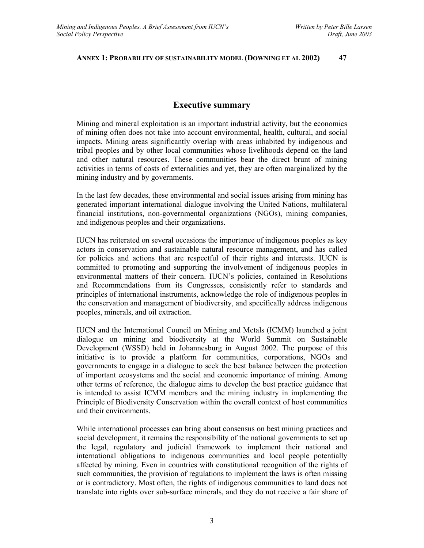#### **ANNEX 1: PROBABILITY OF SUSTAINABILITY MODEL (DOWNING ET AL 2002) 47**

# **Executive summary**

Mining and mineral exploitation is an important industrial activity, but the economics of mining often does not take into account environmental, health, cultural, and social impacts. Mining areas significantly overlap with areas inhabited by indigenous and tribal peoples and by other local communities whose livelihoods depend on the land and other natural resources. These communities bear the direct brunt of mining activities in terms of costs of externalities and yet, they are often marginalized by the mining industry and by governments.

In the last few decades, these environmental and social issues arising from mining has generated important international dialogue involving the United Nations, multilateral financial institutions, non-governmental organizations (NGOs), mining companies, and indigenous peoples and their organizations.

IUCN has reiterated on several occasions the importance of indigenous peoples as key actors in conservation and sustainable natural resource management, and has called for policies and actions that are respectful of their rights and interests. IUCN is committed to promoting and supporting the involvement of indigenous peoples in environmental matters of their concern. IUCN's policies, contained in Resolutions and Recommendations from its Congresses, consistently refer to standards and principles of international instruments, acknowledge the role of indigenous peoples in the conservation and management of biodiversity, and specifically address indigenous peoples, minerals, and oil extraction.

IUCN and the International Council on Mining and Metals (ICMM) launched a joint dialogue on mining and biodiversity at the World Summit on Sustainable Development (WSSD) held in Johannesburg in August 2002. The purpose of this initiative is to provide a platform for communities, corporations, NGOs and governments to engage in a dialogue to seek the best balance between the protection of important ecosystems and the social and economic importance of mining. Among other terms of reference, the dialogue aims to develop the best practice guidance that is intended to assist ICMM members and the mining industry in implementing the Principle of Biodiversity Conservation within the overall context of host communities and their environments.

While international processes can bring about consensus on best mining practices and social development, it remains the responsibility of the national governments to set up the legal, regulatory and judicial framework to implement their national and international obligations to indigenous communities and local people potentially affected by mining. Even in countries with constitutional recognition of the rights of such communities, the provision of regulations to implement the laws is often missing or is contradictory. Most often, the rights of indigenous communities to land does not translate into rights over sub-surface minerals, and they do not receive a fair share of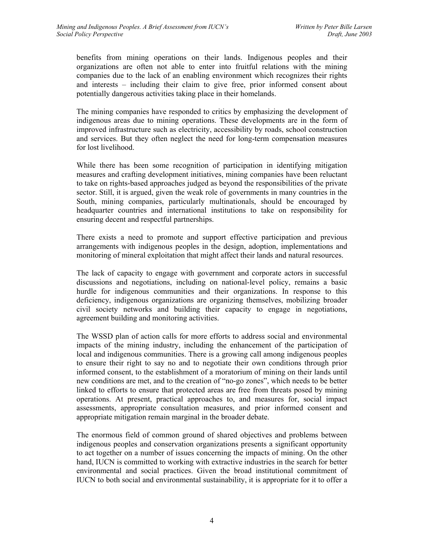benefits from mining operations on their lands. Indigenous peoples and their organizations are often not able to enter into fruitful relations with the mining companies due to the lack of an enabling environment which recognizes their rights and interests – including their claim to give free, prior informed consent about potentially dangerous activities taking place in their homelands.

The mining companies have responded to critics by emphasizing the development of indigenous areas due to mining operations. These developments are in the form of improved infrastructure such as electricity, accessibility by roads, school construction and services. But they often neglect the need for long-term compensation measures for lost livelihood.

While there has been some recognition of participation in identifying mitigation measures and crafting development initiatives, mining companies have been reluctant to take on rights-based approaches judged as beyond the responsibilities of the private sector. Still, it is argued, given the weak role of governments in many countries in the South, mining companies, particularly multinationals, should be encouraged by headquarter countries and international institutions to take on responsibility for ensuring decent and respectful partnerships.

There exists a need to promote and support effective participation and previous arrangements with indigenous peoples in the design, adoption, implementations and monitoring of mineral exploitation that might affect their lands and natural resources.

The lack of capacity to engage with government and corporate actors in successful discussions and negotiations, including on national-level policy, remains a basic hurdle for indigenous communities and their organizations. In response to this deficiency, indigenous organizations are organizing themselves, mobilizing broader civil society networks and building their capacity to engage in negotiations, agreement building and monitoring activities.

The WSSD plan of action calls for more efforts to address social and environmental impacts of the mining industry, including the enhancement of the participation of local and indigenous communities. There is a growing call among indigenous peoples to ensure their right to say no and to negotiate their own conditions through prior informed consent, to the establishment of a moratorium of mining on their lands until new conditions are met, and to the creation of "no-go zones", which needs to be better linked to efforts to ensure that protected areas are free from threats posed by mining operations. At present, practical approaches to, and measures for, social impact assessments, appropriate consultation measures, and prior informed consent and appropriate mitigation remain marginal in the broader debate.

The enormous field of common ground of shared objectives and problems between indigenous peoples and conservation organizations presents a significant opportunity to act together on a number of issues concerning the impacts of mining. On the other hand, IUCN is committed to working with extractive industries in the search for better environmental and social practices. Given the broad institutional commitment of IUCN to both social and environmental sustainability, it is appropriate for it to offer a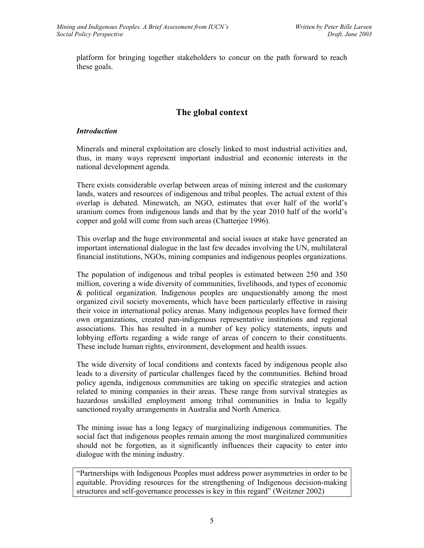platform for bringing together stakeholders to concur on the path forward to reach these goals.

# **The global context**

## *Introduction*

Minerals and mineral exploitation are closely linked to most industrial activities and, thus, in many ways represent important industrial and economic interests in the national development agenda.

There exists considerable overlap between areas of mining interest and the customary lands, waters and resources of indigenous and tribal peoples. The actual extent of this overlap is debated. Minewatch, an NGO, estimates that over half of the world's uranium comes from indigenous lands and that by the year 2010 half of the world's copper and gold will come from such areas (Chatterjee 1996).

This overlap and the huge environmental and social issues at stake have generated an important international dialogue in the last few decades involving the UN, multilateral financial institutions, NGOs, mining companies and indigenous peoples organizations.

The population of indigenous and tribal peoples is estimated between 250 and 350 million, covering a wide diversity of communities, livelihoods, and types of economic & political organization. Indigenous peoples are unquestionably among the most organized civil society movements, which have been particularly effective in raising their voice in international policy arenas. Many indigenous peoples have formed their own organizations, created pan-indigenous representative institutions and regional associations. This has resulted in a number of key policy statements, inputs and lobbying efforts regarding a wide range of areas of concern to their constituents. These include human rights, environment, development and health issues.

The wide diversity of local conditions and contexts faced by indigenous people also leads to a diversity of particular challenges faced by the communities. Behind broad policy agenda, indigenous communities are taking on specific strategies and action related to mining companies in their areas. These range from survival strategies as hazardous unskilled employment among tribal communities in India to legally sanctioned royalty arrangements in Australia and North America.

The mining issue has a long legacy of marginalizing indigenous communities. The social fact that indigenous peoples remain among the most marginalized communities should not be forgotten, as it significantly influences their capacity to enter into dialogue with the mining industry.

"Partnerships with Indigenous Peoples must address power asymmetries in order to be equitable. Providing resources for the strengthening of Indigenous decision-making structures and self-governance processes is key in this regard" (Weitzner 2002)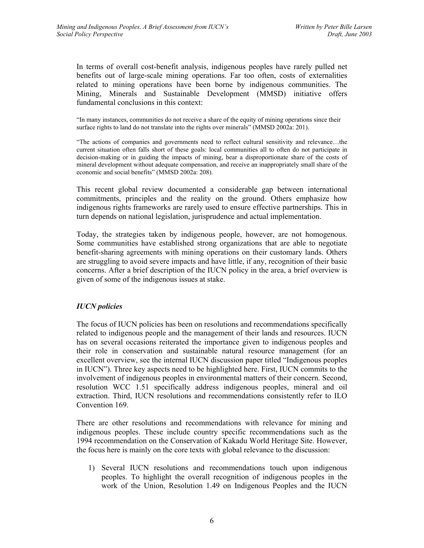In terms of overall cost-benefit analysis, indigenous peoples have rarely pulled net benefits out of large-scale mining operations. Far too often, costs of externalities related to mining operations have been borne by indigenous communities. The Mining, Minerals and Sustainable Development (MMSD) initiative offers fundamental conclusions in this context:

"In many instances, communities do not receive a share of the equity of mining operations since their surface rights to land do not translate into the rights over minerals" (MMSD 2002a: 201).

"The actions of companies and governments need to reflect cultural sensitivity and relevance…the current situation often falls short of these goals: local communities all to often do not participate in decision-making or in guiding the impacts of mining, bear a disproportionate share of the costs of mineral development without adequate compensation, and receive an inappropriately small share of the economic and social benefits" (MMSD 2002a: 208).

This recent global review documented a considerable gap between international commitments, principles and the reality on the ground. Others emphasize how indigenous rights frameworks are rarely used to ensure effective partnerships. This in turn depends on national legislation, jurisprudence and actual implementation.

Today, the strategies taken by indigenous people, however, are not homogenous. Some communities have established strong organizations that are able to negotiate benefit-sharing agreements with mining operations on their customary lands. Others are struggling to avoid severe impacts and have little, if any, recognition of their basic concerns. After a brief description of the IUCN policy in the area, a brief overview is given of some of the indigenous issues at stake.

# *IUCN policies*

The focus of IUCN policies has been on resolutions and recommendations specifically related to indigenous people and the management of their lands and resources. IUCN has on several occasions reiterated the importance given to indigenous peoples and their role in conservation and sustainable natural resource management (for an excellent overview, see the internal IUCN discussion paper titled "Indigenous peoples in IUCN"). Three key aspects need to be highlighted here. First, IUCN commits to the involvement of indigenous peoples in environmental matters of their concern. Second, resolution WCC 1.51 specifically address indigenous peoples, mineral and oil extraction. Third, IUCN resolutions and recommendations consistently refer to ILO Convention 169.

There are other resolutions and recommendations with relevance for mining and indigenous peoples. These include country specific recommendations such as the 1994 recommendation on the Conservation of Kakadu World Heritage Site. However, the focus here is mainly on the core texts with global relevance to the discussion:

1) Several IUCN resolutions and recommendations touch upon indigenous peoples. To highlight the overall recognition of indigenous peoples in the work of the Union, Resolution 1.49 on Indigenous Peoples and the IUCN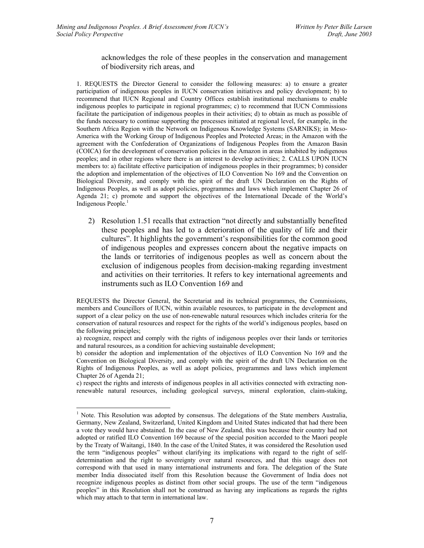#### acknowledges the role of these peoples in the conservation and management of biodiversity rich areas, and

1. REQUESTS the Director General to consider the following measures: a) to ensure a greater participation of indigenous peoples in IUCN conservation initiatives and policy development; b) to recommend that IUCN Regional and Country Offices establish institutional mechanisms to enable indigenous peoples to participate in regional programmes; c) to recommend that IUCN Commissions facilitate the participation of indigenous peoples in their activities; d) to obtain as much as possible of the funds necessary to continue supporting the processes initiated at regional level, for example, in the Southern Africa Region with the Network on Indigenous Knowledge Systems (SARNIKS); in Meso-America with the Working Group of Indigenous Peoples and Protected Areas; in the Amazon with the agreement with the Confederation of Organizations of Indigenous Peoples from the Amazon Basin (COICA) for the development of conservation policies in the Amazon in areas inhabited by indigenous peoples; and in other regions where there is an interest to develop activities; 2. CALLS UPON IUCN members to: a) facilitate effective participation of indigenous peoples in their programmes; b) consider the adoption and implementation of the objectives of ILO Convention No 169 and the Convention on Biological Diversity, and comply with the spirit of the draft UN Declaration on the Rights of Indigenous Peoples, as well as adopt policies, programmes and laws which implement Chapter 26 of Agenda 21; c) promote and support the objectives of the International Decade of the World's Indigenous People.<sup>1</sup>

2) Resolution 1.51 recalls that extraction "not directly and substantially benefited these peoples and has led to a deterioration of the quality of life and their cultures". It highlights the government's responsibilities for the common good of indigenous peoples and expresses concern about the negative impacts on the lands or territories of indigenous peoples as well as concern about the exclusion of indigenous peoples from decision-making regarding investment and activities on their territories. It refers to key international agreements and instruments such as ILO Convention 169 and

c) respect the rights and interests of indigenous peoples in all activities connected with extracting nonrenewable natural resources, including geological surveys, mineral exploration, claim-staking,

 $\overline{a}$ 

REQUESTS the Director General, the Secretariat and its technical programmes, the Commissions, members and Councillors of IUCN, within available resources, to participate in the development and support of a clear policy on the use of non-renewable natural resources which includes criteria for the conservation of natural resources and respect for the rights of the world's indigenous peoples, based on the following principles;

a) recognize, respect and comply with the rights of indigenous peoples over their lands or territories and natural resources, as a condition for achieving sustainable development;

b) consider the adoption and implementation of the objectives of ILO Convention No 169 and the Convention on Biological Diversity, and comply with the spirit of the draft UN Declaration on the Rights of Indigenous Peoples, as well as adopt policies, programmes and laws which implement Chapter 26 of Agenda 21;

<sup>&</sup>lt;sup>1</sup> Note. This Resolution was adopted by consensus. The delegations of the State members Australia, Germany, New Zealand, Switzerland, United Kingdom and United States indicated that had there been a vote they would have abstained. In the case of New Zealand, this was because their country had not adopted or ratified ILO Convention 169 because of the special position accorded to the Maori people by the Treaty of Waitangi, 1840. In the case of the United States, it was considered the Resolution used the term "indigenous peoples" without clarifying its implications with regard to the right of selfdetermination and the right to sovereignty over natural resources, and that this usage does not correspond with that used in many international instruments and fora. The delegation of the State member India dissociated itself from this Resolution because the Government of India does not recognize indigenous peoples as distinct from other social groups. The use of the term "indigenous peoples" in this Resolution shall not be construed as having any implications as regards the rights which may attach to that term in international law.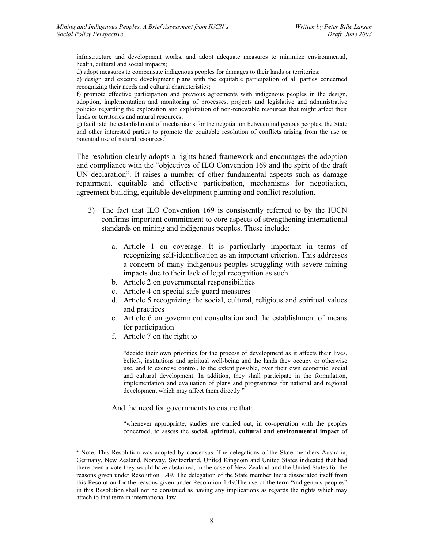infrastructure and development works, and adopt adequate measures to minimize environmental, health, cultural and social impacts;

d) adopt measures to compensate indigenous peoples for damages to their lands or territories;

e) design and execute development plans with the equitable participation of all parties concerned recognizing their needs and cultural characteristics;

f) promote effective participation and previous agreements with indigenous peoples in the design, adoption, implementation and monitoring of processes, projects and legislative and administrative policies regarding the exploration and exploitation of non-renewable resources that might affect their lands or territories and natural resources;

g) facilitate the establishment of mechanisms for the negotiation between indigenous peoples, the State and other interested parties to promote the equitable resolution of conflicts arising from the use or potential use of natural resources.<sup>2</sup>

The resolution clearly adopts a rights-based framework and encourages the adoption and compliance with the "objectives of ILO Convention 169 and the spirit of the draft UN declaration". It raises a number of other fundamental aspects such as damage repairment, equitable and effective participation, mechanisms for negotiation, agreement building, equitable development planning and conflict resolution.

- 3) The fact that ILO Convention 169 is consistently referred to by the IUCN confirms important commitment to core aspects of strengthening international standards on mining and indigenous peoples. These include:
	- a. Article 1 on coverage. It is particularly important in terms of recognizing self-identification as an important criterion. This addresses a concern of many indigenous peoples struggling with severe mining impacts due to their lack of legal recognition as such.
	- b. Article 2 on governmental responsibilities
	- c. Article 4 on special safe-guard measures
	- d. Article 5 recognizing the social, cultural, religious and spiritual values and practices
	- e. Article 6 on government consultation and the establishment of means for participation
	- f. Article 7 on the right to

 $\overline{a}$ 

"decide their own priorities for the process of development as it affects their lives, beliefs, institutions and spiritual well-being and the lands they occupy or otherwise use, and to exercise control, to the extent possible, over their own economic, social and cultural development. In addition, they shall participate in the formulation, implementation and evaluation of plans and programmes for national and regional development which may affect them directly."

And the need for governments to ensure that:

"whenever appropriate, studies are carried out, in co-operation with the peoples concerned, to assess the **social, spiritual, cultural and environmental impact** of

 $2^2$  Note. This Resolution was adopted by consensus. The delegations of the State members Australia, Germany, New Zealand, Norway, Switzerland, United Kingdom and United States indicated that had there been a vote they would have abstained, in the case of New Zealand and the United States for the reasons given under Resolution 1.49. The delegation of the State member India dissociated itself from this Resolution for the reasons given under Resolution 1.49.The use of the term "indigenous peoples" in this Resolution shall not be construed as having any implications as regards the rights which may attach to that term in international law.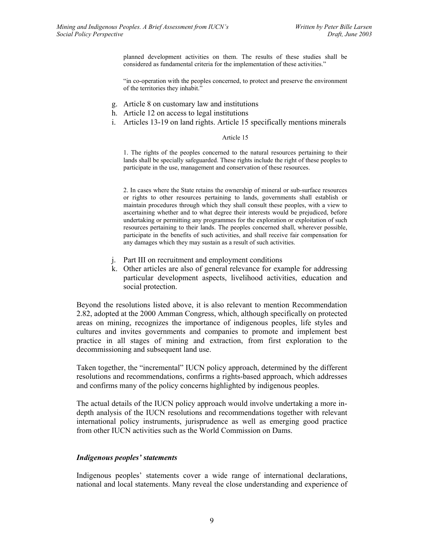planned development activities on them. The results of these studies shall be considered as fundamental criteria for the implementation of these activities."

"in co-operation with the peoples concerned, to protect and preserve the environment of the territories they inhabit."

- g. Article 8 on customary law and institutions
- h. Article 12 on access to legal institutions
- i. Articles 13-19 on land rights. Article 15 specifically mentions minerals

#### Article 15

1. The rights of the peoples concerned to the natural resources pertaining to their lands shall be specially safeguarded. These rights include the right of these peoples to participate in the use, management and conservation of these resources.

2. In cases where the State retains the ownership of mineral or sub-surface resources or rights to other resources pertaining to lands, governments shall establish or maintain procedures through which they shall consult these peoples, with a view to ascertaining whether and to what degree their interests would be prejudiced, before undertaking or permitting any programmes for the exploration or exploitation of such resources pertaining to their lands. The peoples concerned shall, wherever possible, participate in the benefits of such activities, and shall receive fair compensation for any damages which they may sustain as a result of such activities.

- j. Part III on recruitment and employment conditions
- k. Other articles are also of general relevance for example for addressing particular development aspects, livelihood activities, education and social protection.

Beyond the resolutions listed above, it is also relevant to mention Recommendation 2.82, adopted at the 2000 Amman Congress, which, although specifically on protected areas on mining, recognizes the importance of indigenous peoples, life styles and cultures and invites governments and companies to promote and implement best practice in all stages of mining and extraction, from first exploration to the decommissioning and subsequent land use.

Taken together, the "incremental" IUCN policy approach, determined by the different resolutions and recommendations, confirms a rights-based approach, which addresses and confirms many of the policy concerns highlighted by indigenous peoples.

The actual details of the IUCN policy approach would involve undertaking a more indepth analysis of the IUCN resolutions and recommendations together with relevant international policy instruments, jurisprudence as well as emerging good practice from other IUCN activities such as the World Commission on Dams.

#### *Indigenous peoples' statements*

Indigenous peoples' statements cover a wide range of international declarations, national and local statements. Many reveal the close understanding and experience of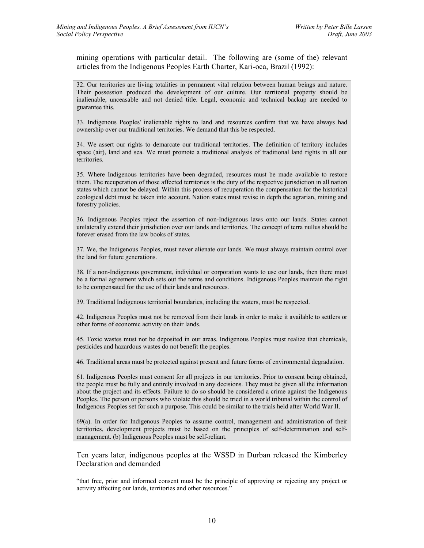mining operations with particular detail. The following are (some of the) relevant articles from the Indigenous Peoples Earth Charter, Kari-oca, Brazil (1992):

32. Our territories are living totalities in permanent vital relation between human beings and nature. Their possession produced the development of our culture. Our territorial property should be inalienable, unceasable and not denied title. Legal, economic and technical backup are needed to guarantee this.

33. Indigenous Peoples' inalienable rights to land and resources confirm that we have always had ownership over our traditional territories. We demand that this be respected.

34. We assert our rights to demarcate our traditional territories. The definition of territory includes space (air), land and sea. We must promote a traditional analysis of traditional land rights in all our territories.

35. Where Indigenous territories have been degraded, resources must be made available to restore them. The recuperation of those affected territories is the duty of the respective jurisdiction in all nation states which cannot be delayed. Within this process of recuperation the compensation for the historical ecological debt must be taken into account. Nation states must revise in depth the agrarian, mining and forestry policies.

36. Indigenous Peoples reject the assertion of non-Indigenous laws onto our lands. States cannot unilaterally extend their jurisdiction over our lands and territories. The concept of terra nullus should be forever erased from the law books of states.

37. We, the Indigenous Peoples, must never alienate our lands. We must always maintain control over the land for future generations.

38. If a non-Indigenous government, individual or corporation wants to use our lands, then there must be a formal agreement which sets out the terms and conditions. Indigenous Peoples maintain the right to be compensated for the use of their lands and resources.

39. Traditional Indigenous territorial boundaries, including the waters, must be respected.

42. Indigenous Peoples must not be removed from their lands in order to make it available to settlers or other forms of economic activity on their lands.

45. Toxic wastes must not be deposited in our areas. Indigenous Peoples must realize that chemicals, pesticides and hazardous wastes do not benefit the peoples.

46. Traditional areas must be protected against present and future forms of environmental degradation.

61. Indigenous Peoples must consent for all projects in our territories. Prior to consent being obtained, the people must be fully and entirely involved in any decisions. They must be given all the information about the project and its effects. Failure to do so should be considered a crime against the Indigenous Peoples. The person or persons who violate this should be tried in a world tribunal within the control of Indigenous Peoples set for such a purpose. This could be similar to the trials held after World War II.

69(a). In order for Indigenous Peoples to assume control, management and administration of their territories, development projects must be based on the principles of self-determination and selfmanagement. (b) Indigenous Peoples must be self-reliant.

Ten years later, indigenous peoples at the WSSD in Durban released the Kimberley Declaration and demanded

"that free, prior and informed consent must be the principle of approving or rejecting any project or activity affecting our lands, territories and other resources."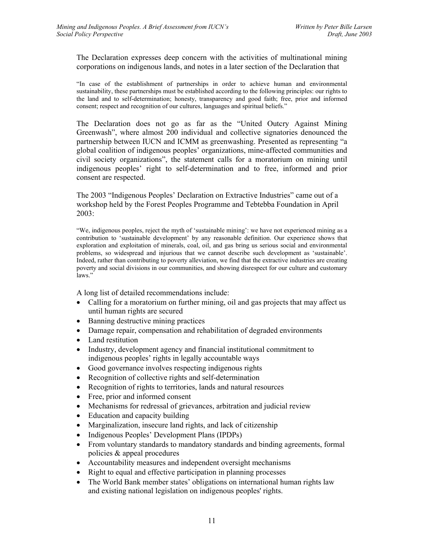The Declaration expresses deep concern with the activities of multinational mining corporations on indigenous lands, and notes in a later section of the Declaration that

"In case of the establishment of partnerships in order to achieve human and environmental sustainability, these partnerships must be established according to the following principles: our rights to the land and to self-determination; honesty, transparency and good faith; free, prior and informed consent; respect and recognition of our cultures, languages and spiritual beliefs."

The Declaration does not go as far as the "United Outcry Against Mining Greenwash", where almost 200 individual and collective signatories denounced the partnership between IUCN and ICMM as greenwashing. Presented as representing "a global coalition of indigenous peoples' organizations, mine-affected communities and civil society organizations", the statement calls for a moratorium on mining until indigenous peoples' right to self-determination and to free, informed and prior consent are respected.

The 2003 "Indigenous Peoples' Declaration on Extractive Industries" came out of a workshop held by the Forest Peoples Programme and Tebtebba Foundation in April 2003:

"We, indigenous peoples, reject the myth of 'sustainable mining': we have not experienced mining as a contribution to 'sustainable development' by any reasonable definition. Our experience shows that exploration and exploitation of minerals, coal, oil, and gas bring us serious social and environmental problems, so widespread and injurious that we cannot describe such development as 'sustainable'. Indeed, rather than contributing to poverty alleviation, we find that the extractive industries are creating poverty and social divisions in our communities, and showing disrespect for our culture and customary laws."

A long list of detailed recommendations include:

- Calling for a moratorium on further mining, oil and gas projects that may affect us until human rights are secured
- Banning destructive mining practices
- Damage repair, compensation and rehabilitation of degraded environments
- Land restitution
- Industry, development agency and financial institutional commitment to indigenous peoples' rights in legally accountable ways
- Good governance involves respecting indigenous rights
- Recognition of collective rights and self-determination
- Recognition of rights to territories, lands and natural resources
- Free, prior and informed consent
- Mechanisms for redressal of grievances, arbitration and judicial review
- Education and capacity building
- Marginalization, insecure land rights, and lack of citizenship
- Indigenous Peoples' Development Plans (IPDPs)
- From voluntary standards to mandatory standards and binding agreements, formal policies & appeal procedures
- Accountability measures and independent oversight mechanisms
- Right to equal and effective participation in planning processes
- The World Bank member states' obligations on international human rights law and existing national legislation on indigenous peoples' rights.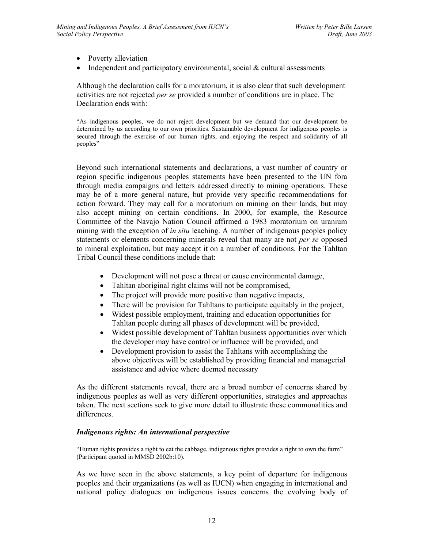- Poverty alleviation
- Independent and participatory environmental, social & cultural assessments

Although the declaration calls for a moratorium, it is also clear that such development activities are not rejected *per se* provided a number of conditions are in place. The Declaration ends with:

"As indigenous peoples, we do not reject development but we demand that our development be determined by us according to our own priorities. Sustainable development for indigenous peoples is secured through the exercise of our human rights, and enjoying the respect and solidarity of all peoples"

Beyond such international statements and declarations, a vast number of country or region specific indigenous peoples statements have been presented to the UN fora through media campaigns and letters addressed directly to mining operations. These may be of a more general nature, but provide very specific recommendations for action forward. They may call for a moratorium on mining on their lands, but may also accept mining on certain conditions. In 2000, for example, the Resource Committee of the Navajo Nation Council affirmed a 1983 moratorium on uranium mining with the exception of *in situ* leaching. A number of indigenous peoples policy statements or elements concerning minerals reveal that many are not *per se* opposed to mineral exploitation, but may accept it on a number of conditions. For the Tahltan Tribal Council these conditions include that:

- Development will not pose a threat or cause environmental damage,
- Tahltan aboriginal right claims will not be compromised,
- The project will provide more positive than negative impacts,
- There will be provision for Tahltans to participate equitably in the project,
- Widest possible employment, training and education opportunities for Tahltan people during all phases of development will be provided,
- Widest possible development of Tahltan business opportunities over which the developer may have control or influence will be provided, and
- Development provision to assist the Tahltans with accomplishing the above objectives will be established by providing financial and managerial assistance and advice where deemed necessary

As the different statements reveal, there are a broad number of concerns shared by indigenous peoples as well as very different opportunities, strategies and approaches taken. The next sections seek to give more detail to illustrate these commonalities and differences.

# *Indigenous rights: An international perspective*

"Human rights provides a right to eat the cabbage, indigenous rights provides a right to own the farm" (Participant quoted in MMSD 2002b:10).

As we have seen in the above statements, a key point of departure for indigenous peoples and their organizations (as well as IUCN) when engaging in international and national policy dialogues on indigenous issues concerns the evolving body of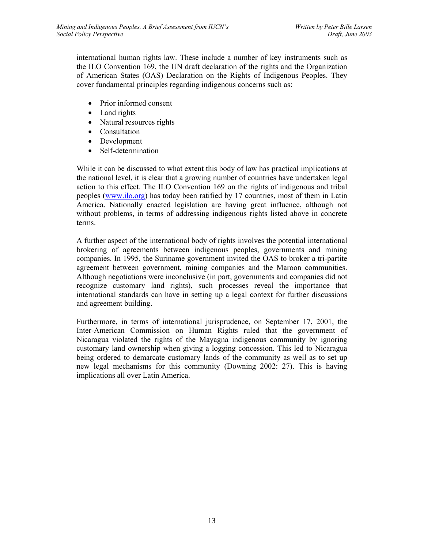international human rights law. These include a number of key instruments such as the ILO Convention 169, the UN draft declaration of the rights and the Organization of American States (OAS) Declaration on the Rights of Indigenous Peoples. They cover fundamental principles regarding indigenous concerns such as:

- Prior informed consent
- Land rights
- Natural resources rights
- Consultation
- Development
- Self-determination

While it can be discussed to what extent this body of law has practical implications at the national level, it is clear that a growing number of countries have undertaken legal action to this effect. The ILO Convention 169 on the rights of indigenous and tribal peoples (www.ilo.org) has today been ratified by 17 countries, most of them in Latin America. Nationally enacted legislation are having great influence, although not without problems, in terms of addressing indigenous rights listed above in concrete terms.

A further aspect of the international body of rights involves the potential international brokering of agreements between indigenous peoples, governments and mining companies. In 1995, the Suriname government invited the OAS to broker a tri-partite agreement between government, mining companies and the Maroon communities. Although negotiations were inconclusive (in part, governments and companies did not recognize customary land rights), such processes reveal the importance that international standards can have in setting up a legal context for further discussions and agreement building.

Furthermore, in terms of international jurisprudence, on September 17, 2001, the Inter-American Commission on Human Rights ruled that the government of Nicaragua violated the rights of the Mayagna indigenous community by ignoring customary land ownership when giving a logging concession. This led to Nicaragua being ordered to demarcate customary lands of the community as well as to set up new legal mechanisms for this community (Downing 2002: 27). This is having implications all over Latin America.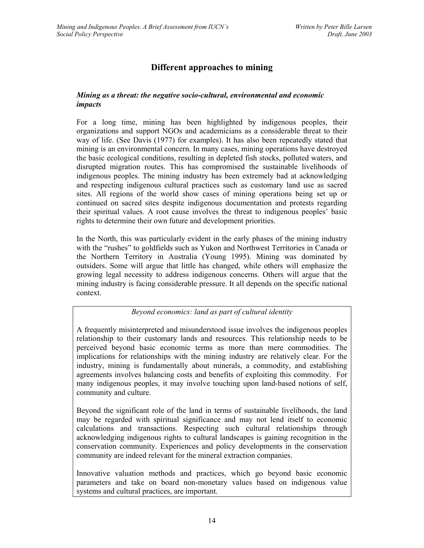# **Different approaches to mining**

# *Mining as a threat: the negative socio-cultural, environmental and economic impacts*

For a long time, mining has been highlighted by indigenous peoples, their organizations and support NGOs and academicians as a considerable threat to their way of life. (See Davis (1977) for examples). It has also been repeatedly stated that mining is an environmental concern. In many cases, mining operations have destroyed the basic ecological conditions, resulting in depleted fish stocks, polluted waters, and disrupted migration routes. This has compromised the sustainable livelihoods of indigenous peoples. The mining industry has been extremely bad at acknowledging and respecting indigenous cultural practices such as customary land use as sacred sites. All regions of the world show cases of mining operations being set up or continued on sacred sites despite indigenous documentation and protests regarding their spiritual values. A root cause involves the threat to indigenous peoples' basic rights to determine their own future and development priorities.

In the North, this was particularly evident in the early phases of the mining industry with the "rushes" to goldfields such as Yukon and Northwest Territories in Canada or the Northern Territory in Australia (Young 1995). Mining was dominated by outsiders. Some will argue that little has changed, while others will emphasize the growing legal necessity to address indigenous concerns. Others will argue that the mining industry is facing considerable pressure. It all depends on the specific national context.

*Beyond economics: land as part of cultural identity* 

A frequently misinterpreted and misunderstood issue involves the indigenous peoples relationship to their customary lands and resources. This relationship needs to be perceived beyond basic economic terms as more than mere commodities. The implications for relationships with the mining industry are relatively clear. For the industry, mining is fundamentally about minerals, a commodity, and establishing agreements involves balancing costs and benefits of exploiting this commodity. For many indigenous peoples, it may involve touching upon land-based notions of self, community and culture.

Beyond the significant role of the land in terms of sustainable livelihoods, the land may be regarded with spiritual significance and may not lend itself to economic calculations and transactions. Respecting such cultural relationships through acknowledging indigenous rights to cultural landscapes is gaining recognition in the conservation community. Experiences and policy developments in the conservation community are indeed relevant for the mineral extraction companies.

Innovative valuation methods and practices, which go beyond basic economic parameters and take on board non-monetary values based on indigenous value systems and cultural practices, are important.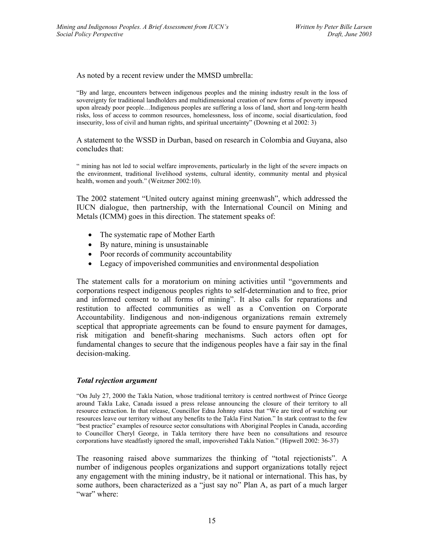As noted by a recent review under the MMSD umbrella:

"By and large, encounters between indigenous peoples and the mining industry result in the loss of sovereignty for traditional landholders and multidimensional creation of new forms of poverty imposed upon already poor people…Indigenous peoples are suffering a loss of land, short and long-term health risks, loss of access to common resources, homelessness, loss of income, social disarticulation, food insecurity, loss of civil and human rights, and spiritual uncertainty" (Downing et al 2002: 3)

A statement to the WSSD in Durban, based on research in Colombia and Guyana, also concludes that:

" mining has not led to social welfare improvements, particularly in the light of the severe impacts on the environment, traditional livelihood systems, cultural identity, community mental and physical health, women and youth." (Weitzner 2002:10).

The 2002 statement "United outcry against mining greenwash", which addressed the IUCN dialogue, then partnership, with the International Council on Mining and Metals (ICMM) goes in this direction. The statement speaks of:

- The systematic rape of Mother Earth
- By nature, mining is unsustainable
- Poor records of community accountability
- Legacy of impoverished communities and environmental despoliation

The statement calls for a moratorium on mining activities until "governments and corporations respect indigenous peoples rights to self-determination and to free, prior and informed consent to all forms of mining". It also calls for reparations and restitution to affected communities as well as a Convention on Corporate Accountability. Iindigenous and non-indigenous organizations remain extremely sceptical that appropriate agreements can be found to ensure payment for damages, risk mitigation and benefit-sharing mechanisms. Such actors often opt for fundamental changes to secure that the indigenous peoples have a fair say in the final decision-making.

#### *Total rejection argument*

"On July 27, 2000 the Takla Nation, whose traditional territory is centred northwest of Prince George around Takla Lake, Canada issued a press release announcing the closure of their territory to all resource extraction. In that release, Councillor Edna Johnny states that "We are tired of watching our resources leave our territory without any benefits to the Takla First Nation." In stark contrast to the few "best practice" examples of resource sector consultations with Aboriginal Peoples in Canada, according to Councillor Cheryl George, in Takla territory there have been no consultations and resource corporations have steadfastly ignored the small, impoverished Takla Nation." (Hipwell 2002: 36-37)

The reasoning raised above summarizes the thinking of "total rejectionists". A number of indigenous peoples organizations and support organizations totally reject any engagement with the mining industry, be it national or international. This has, by some authors, been characterized as a "just say no" Plan A, as part of a much larger "war" where: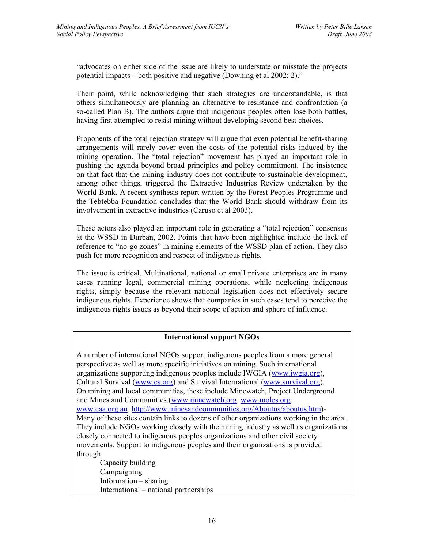"advocates on either side of the issue are likely to understate or misstate the projects potential impacts – both positive and negative (Downing et al 2002: 2)."

Their point, while acknowledging that such strategies are understandable, is that others simultaneously are planning an alternative to resistance and confrontation (a so-called Plan B). The authors argue that indigenous peoples often lose both battles, having first attempted to resist mining without developing second best choices.

Proponents of the total rejection strategy will argue that even potential benefit-sharing arrangements will rarely cover even the costs of the potential risks induced by the mining operation. The "total rejection" movement has played an important role in pushing the agenda beyond broad principles and policy commitment. The insistence on that fact that the mining industry does not contribute to sustainable development, among other things, triggered the Extractive Industries Review undertaken by the World Bank. A recent synthesis report written by the Forest Peoples Programme and the Tebtebba Foundation concludes that the World Bank should withdraw from its involvement in extractive industries (Caruso et al 2003).

These actors also played an important role in generating a "total rejection" consensus at the WSSD in Durban, 2002. Points that have been highlighted include the lack of reference to "no-go zones" in mining elements of the WSSD plan of action. They also push for more recognition and respect of indigenous rights.

The issue is critical. Multinational, national or small private enterprises are in many cases running legal, commercial mining operations, while neglecting indigenous rights, simply because the relevant national legislation does not effectively secure indigenous rights. Experience shows that companies in such cases tend to perceive the indigenous rights issues as beyond their scope of action and sphere of influence.

# **International support NGOs**

A number of international NGOs support indigenous peoples from a more general perspective as well as more specific initiatives on mining. Such international organizations supporting indigenous peoples include IWGIA (www.iwgia.org), Cultural Survival (www.cs.org) and Survival International (www.survival.org). On mining and local communities, these include Minewatch, Project Underground and Mines and Communities.(www.minewatch.org, www.moles.org, www.caa.org.au, http://www.minesandcommunities.org/Aboutus/aboutus.htm)- Many of these sites contain links to dozens of other organizations working in the area. They include NGOs working closely with the mining industry as well as organizations closely connected to indigenous peoples organizations and other civil society movements. Support to indigenous peoples and their organizations is provided through:

Capacity building Campaigning Information – sharing International – national partnerships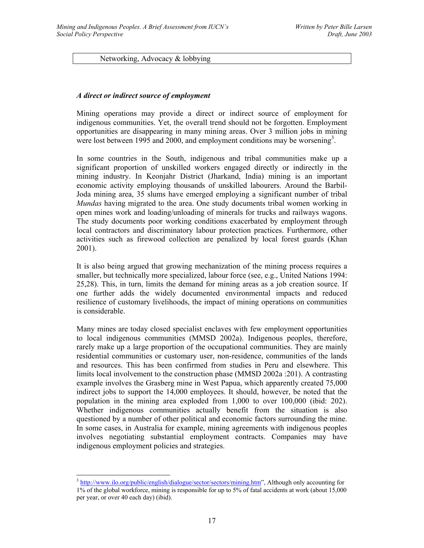Networking, Advocacy & lobbying

#### *A direct or indirect source of employment*

Mining operations may provide a direct or indirect source of employment for indigenous communities. Yet, the overall trend should not be forgotten. Employment opportunities are disappearing in many mining areas. Over 3 million jobs in mining were lost between 1995 and 2000, and employment conditions may be worsening<sup>3</sup>.

In some countries in the South, indigenous and tribal communities make up a significant proportion of unskilled workers engaged directly or indirectly in the mining industry. In Keonjahr District (Jharkand, India) mining is an important economic activity employing thousands of unskilled labourers. Around the Barbil-Joda mining area, 35 slums have emerged employing a significant number of tribal *Mundas* having migrated to the area. One study documents tribal women working in open mines work and loading/unloading of minerals for trucks and railways wagons. The study documents poor working conditions exacerbated by employment through local contractors and discriminatory labour protection practices. Furthermore, other activities such as firewood collection are penalized by local forest guards (Khan 2001).

It is also being argued that growing mechanization of the mining process requires a smaller, but technically more specialized, labour force (see, e.g., United Nations 1994: 25,28). This, in turn, limits the demand for mining areas as a job creation source. If one further adds the widely documented environmental impacts and reduced resilience of customary livelihoods, the impact of mining operations on communities is considerable.

Many mines are today closed specialist enclaves with few employment opportunities to local indigenous communities (MMSD 2002a). Indigenous peoples, therefore, rarely make up a large proportion of the occupational communities. They are mainly residential communities or customary user, non-residence, communities of the lands and resources. This has been confirmed from studies in Peru and elsewhere. This limits local involvement to the construction phase (MMSD 2002a :201). A contrasting example involves the Grasberg mine in West Papua, which apparently created 75,000 indirect jobs to support the 14,000 employees. It should, however, be noted that the population in the mining area exploded from 1,000 to over 100,000 (ibid: 202). Whether indigenous communities actually benefit from the situation is also questioned by a number of other political and economic factors surrounding the mine. In some cases, in Australia for example, mining agreements with indigenous peoples involves negotiating substantial employment contracts. Companies may have indigenous employment policies and strategies.

<sup>&</sup>lt;sup>3</sup> http://www.ilo.org/public/english/dialogue/sector/sectors/mining.htm", Although only accounting for 1% of the global workforce, mining is responsible for up to 5% of fatal accidents at work (about 15,000 per year, or over 40 each day) (ibid).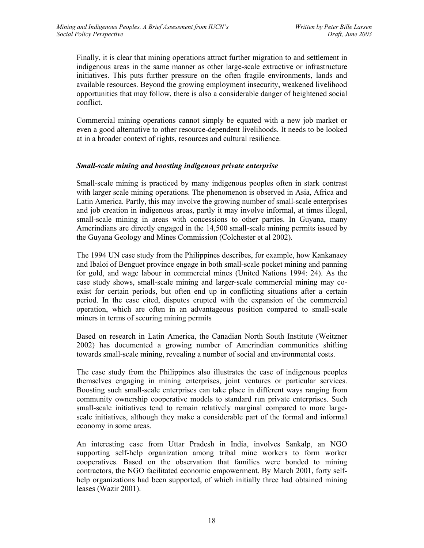Finally, it is clear that mining operations attract further migration to and settlement in indigenous areas in the same manner as other large-scale extractive or infrastructure initiatives. This puts further pressure on the often fragile environments, lands and available resources. Beyond the growing employment insecurity, weakened livelihood opportunities that may follow, there is also a considerable danger of heightened social conflict.

Commercial mining operations cannot simply be equated with a new job market or even a good alternative to other resource-dependent livelihoods. It needs to be looked at in a broader context of rights, resources and cultural resilience.

#### *Small-scale mining and boosting indigenous private enterprise*

Small-scale mining is practiced by many indigenous peoples often in stark contrast with larger scale mining operations. The phenomenon is observed in Asia, Africa and Latin America. Partly, this may involve the growing number of small-scale enterprises and job creation in indigenous areas, partly it may involve informal, at times illegal, small-scale mining in areas with concessions to other parties. In Guyana, many Amerindians are directly engaged in the 14,500 small-scale mining permits issued by the Guyana Geology and Mines Commission (Colchester et al 2002).

The 1994 UN case study from the Philippines describes, for example, how Kankanaey and Ibaloi of Benguet province engage in both small-scale pocket mining and panning for gold, and wage labour in commercial mines (United Nations 1994: 24). As the case study shows, small-scale mining and larger-scale commercial mining may coexist for certain periods, but often end up in conflicting situations after a certain period. In the case cited, disputes erupted with the expansion of the commercial operation, which are often in an advantageous position compared to small-scale miners in terms of securing mining permits

Based on research in Latin America, the Canadian North South Institute (Weitzner 2002) has documented a growing number of Amerindian communities shifting towards small-scale mining, revealing a number of social and environmental costs.

The case study from the Philippines also illustrates the case of indigenous peoples themselves engaging in mining enterprises, joint ventures or particular services. Boosting such small-scale enterprises can take place in different ways ranging from community ownership cooperative models to standard run private enterprises. Such small-scale initiatives tend to remain relatively marginal compared to more largescale initiatives, although they make a considerable part of the formal and informal economy in some areas.

An interesting case from Uttar Pradesh in India, involves Sankalp, an NGO supporting self-help organization among tribal mine workers to form worker cooperatives. Based on the observation that families were bonded to mining contractors, the NGO facilitated economic empowerment. By March 2001, forty selfhelp organizations had been supported, of which initially three had obtained mining leases (Wazir 2001).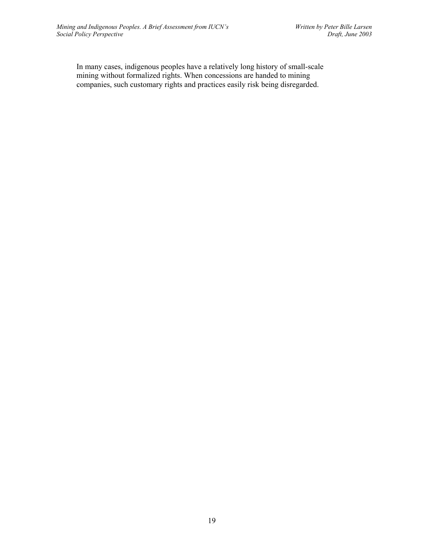In many cases, indigenous peoples have a relatively long history of small-scale mining without formalized rights. When concessions are handed to mining companies, such customary rights and practices easily risk being disregarded.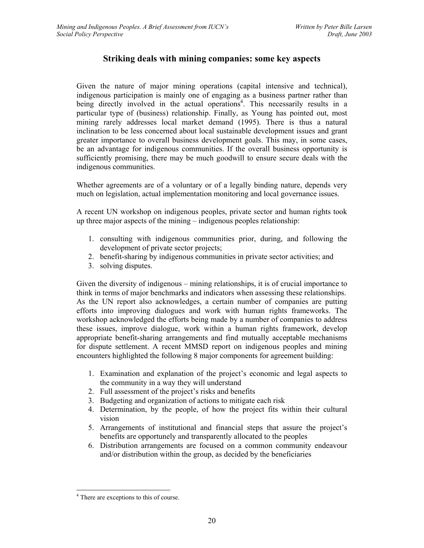# **Striking deals with mining companies: some key aspects**

Given the nature of major mining operations (capital intensive and technical), indigenous participation is mainly one of engaging as a business partner rather than being directly involved in the actual operations<sup>4</sup>. This necessarily results in a particular type of (business) relationship. Finally, as Young has pointed out, most mining rarely addresses local market demand (1995). There is thus a natural inclination to be less concerned about local sustainable development issues and grant greater importance to overall business development goals. This may, in some cases, be an advantage for indigenous communities. If the overall business opportunity is sufficiently promising, there may be much goodwill to ensure secure deals with the indigenous communities.

Whether agreements are of a voluntary or of a legally binding nature, depends very much on legislation, actual implementation monitoring and local governance issues.

A recent UN workshop on indigenous peoples, private sector and human rights took up three major aspects of the mining – indigenous peoples relationship:

- 1. consulting with indigenous communities prior, during, and following the development of private sector projects;
- 2. benefit-sharing by indigenous communities in private sector activities; and
- 3. solving disputes.

Given the diversity of indigenous – mining relationships, it is of crucial importance to think in terms of major benchmarks and indicators when assessing these relationships. As the UN report also acknowledges, a certain number of companies are putting efforts into improving dialogues and work with human rights frameworks. The workshop acknowledged the efforts being made by a number of companies to address these issues, improve dialogue, work within a human rights framework, develop appropriate benefit-sharing arrangements and find mutually acceptable mechanisms for dispute settlement. A recent MMSD report on indigenous peoples and mining encounters highlighted the following 8 major components for agreement building:

- 1. Examination and explanation of the project's economic and legal aspects to the community in a way they will understand
- 2. Full assessment of the project's risks and benefits
- 3. Budgeting and organization of actions to mitigate each risk
- 4. Determination, by the people, of how the project fits within their cultural vision
- 5. Arrangements of institutional and financial steps that assure the project's benefits are opportunely and transparently allocated to the peoples
- 6. Distribution arrangements are focused on a common community endeavour and/or distribution within the group, as decided by the beneficiaries

 $\overline{a}$ 

<sup>4</sup> There are exceptions to this of course.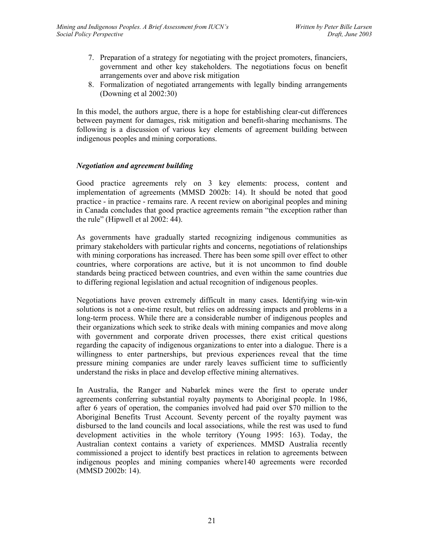- 7. Preparation of a strategy for negotiating with the project promoters, financiers, government and other key stakeholders. The negotiations focus on benefit arrangements over and above risk mitigation
- 8. Formalization of negotiated arrangements with legally binding arrangements (Downing et al 2002:30)

In this model, the authors argue, there is a hope for establishing clear-cut differences between payment for damages, risk mitigation and benefit-sharing mechanisms. The following is a discussion of various key elements of agreement building between indigenous peoples and mining corporations.

#### *Negotiation and agreement building*

Good practice agreements rely on 3 key elements: process, content and implementation of agreements (MMSD 2002b: 14). It should be noted that good practice - in practice - remains rare. A recent review on aboriginal peoples and mining in Canada concludes that good practice agreements remain "the exception rather than the rule" (Hipwell et al 2002: 44).

As governments have gradually started recognizing indigenous communities as primary stakeholders with particular rights and concerns, negotiations of relationships with mining corporations has increased. There has been some spill over effect to other countries, where corporations are active, but it is not uncommon to find double standards being practiced between countries, and even within the same countries due to differing regional legislation and actual recognition of indigenous peoples.

Negotiations have proven extremely difficult in many cases. Identifying win-win solutions is not a one-time result, but relies on addressing impacts and problems in a long-term process. While there are a considerable number of indigenous peoples and their organizations which seek to strike deals with mining companies and move along with government and corporate driven processes, there exist critical questions regarding the capacity of indigenous organizations to enter into a dialogue. There is a willingness to enter partnerships, but previous experiences reveal that the time pressure mining companies are under rarely leaves sufficient time to sufficiently understand the risks in place and develop effective mining alternatives.

In Australia, the Ranger and Nabarlek mines were the first to operate under agreements conferring substantial royalty payments to Aboriginal people. In 1986, after 6 years of operation, the companies involved had paid over \$70 million to the Aboriginal Benefits Trust Account. Seventy percent of the royalty payment was disbursed to the land councils and local associations, while the rest was used to fund development activities in the whole territory (Young 1995: 163). Today, the Australian context contains a variety of experiences. MMSD Australia recently commissioned a project to identify best practices in relation to agreements between indigenous peoples and mining companies where140 agreements were recorded (MMSD 2002b: 14).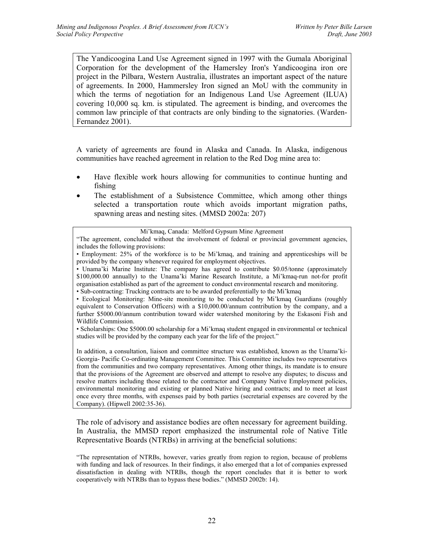The Yandicoogina Land Use Agreement signed in 1997 with the Gumala Aboriginal Corporation for the development of the Hamersley Iron's Yandicoogina iron ore project in the Pilbara, Western Australia, illustrates an important aspect of the nature of agreements. In 2000, Hammersley Iron signed an MoU with the community in which the terms of negotiation for an Indigenous Land Use Agreement (ILUA) covering 10,000 sq. km. is stipulated. The agreement is binding, and overcomes the common law principle of that contracts are only binding to the signatories. (Warden-Fernandez 2001).

A variety of agreements are found in Alaska and Canada. In Alaska, indigenous communities have reached agreement in relation to the Red Dog mine area to:

- Have flexible work hours allowing for communities to continue hunting and fishing
- The establishment of a Subsistence Committee, which among other things selected a transportation route which avoids important migration paths, spawning areas and nesting sites. (MMSD 2002a: 207)

"The agreement, concluded without the involvement of federal or provincial government agencies, includes the following provisions:

• Unama'ki Marine Institute: The company has agreed to contribute \$0.05/tonne (approximately \$100,000.00 annually) to the Unama'ki Marine Research Institute, a Mi'kmaq-run not-for profit organisation established as part of the agreement to conduct environmental research and monitoring.

• Sub-contracting: Trucking contracts are to be awarded preferentially to the Mi'kmaq

• Ecological Monitoring: Mine-site monitoring to be conducted by Mi'kmaq Guardians (roughly equivalent to Conservation Officers) with a \$10,000.00/annum contribution by the company, and a further \$5000.00/annum contribution toward wider watershed monitoring by the Eskasoni Fish and Wildlife Commission.

• Scholarships: One \$5000.00 scholarship for a Mi'kmaq student engaged in environmental or technical studies will be provided by the company each year for the life of the project."

In addition, a consultation, liaison and committee structure was established, known as the Unama'ki-Georgia- Pacific Co-ordinating Management Committee. This Committee includes two representatives from the communities and two company representatives. Among other things, its mandate is to ensure that the provisions of the Agreement are observed and attempt to resolve any disputes; to discuss and resolve matters including those related to the contractor and Company Native Employment policies, environmental monitoring and existing or planned Native hiring and contracts; and to meet at least once every three months, with expenses paid by both parties (secretarial expenses are covered by the Company). (Hipwell 2002:35-36).

The role of advisory and assistance bodies are often necessary for agreement building. In Australia, the MMSD report emphasized the instrumental role of Native Title Representative Boards (NTRBs) in arriving at the beneficial solutions:

Mi'kmaq, Canada: Melford Gypsum Mine Agreement

<sup>•</sup> Employment: 25% of the workforce is to be Mi'kmaq, and training and apprenticeships will be provided by the company whenever required for employment objectives.

<sup>&</sup>quot;The representation of NTRBs, however, varies greatly from region to region, because of problems with funding and lack of resources. In their findings, it also emerged that a lot of companies expressed dissatisfaction in dealing with NTRBs, though the report concludes that it is better to work cooperatively with NTRBs than to bypass these bodies." (MMSD 2002b: 14).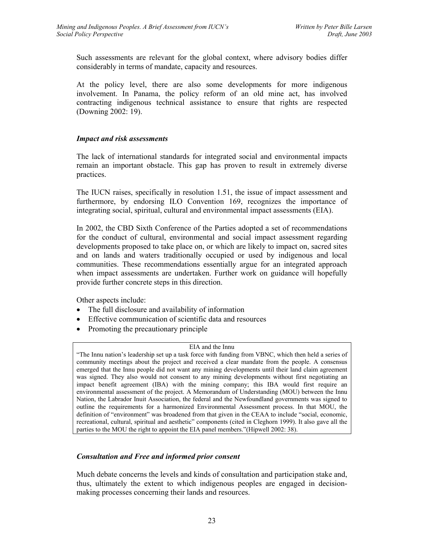Such assessments are relevant for the global context, where advisory bodies differ considerably in terms of mandate, capacity and resources.

At the policy level, there are also some developments for more indigenous involvement. In Panama, the policy reform of an old mine act, has involved contracting indigenous technical assistance to ensure that rights are respected (Downing 2002: 19).

#### *Impact and risk assessments*

The lack of international standards for integrated social and environmental impacts remain an important obstacle. This gap has proven to result in extremely diverse practices.

The IUCN raises, specifically in resolution 1.51, the issue of impact assessment and furthermore, by endorsing ILO Convention 169, recognizes the importance of integrating social, spiritual, cultural and environmental impact assessments (EIA).

In 2002, the CBD Sixth Conference of the Parties adopted a set of recommendations for the conduct of cultural, environmental and social impact assessment regarding developments proposed to take place on, or which are likely to impact on, sacred sites and on lands and waters traditionally occupied or used by indigenous and local communities. These recommendations essentially argue for an integrated approach when impact assessments are undertaken. Further work on guidance will hopefully provide further concrete steps in this direction.

Other aspects include:

- The full disclosure and availability of information
- Effective communication of scientific data and resources
- Promoting the precautionary principle

#### EIA and the Innu

"The Innu nation's leadership set up a task force with funding from VBNC, which then held a series of community meetings about the project and received a clear mandate from the people. A consensus emerged that the Innu people did not want any mining developments until their land claim agreement was signed. They also would not consent to any mining developments without first negotiating an impact benefit agreement (IBA) with the mining company; this IBA would first require an environmental assessment of the project. A Memorandum of Understanding (MOU) between the Innu Nation, the Labrador Inuit Association, the federal and the Newfoundland governments was signed to outline the requirements for a harmonized Environmental Assessment process. In that MOU, the definition of "environment" was broadened from that given in the CEAA to include "social, economic, recreational, cultural, spiritual and aesthetic" components (cited in Cleghorn 1999). It also gave all the parties to the MOU the right to appoint the EIA panel members."(Hipwell 2002: 38).

# *Consultation and Free and informed prior consent*

Much debate concerns the levels and kinds of consultation and participation stake and, thus, ultimately the extent to which indigenous peoples are engaged in decisionmaking processes concerning their lands and resources.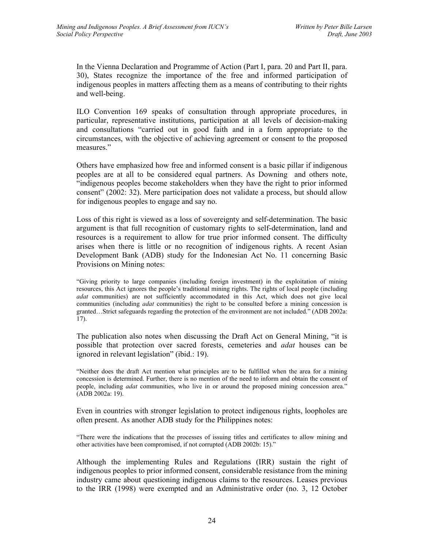In the Vienna Declaration and Programme of Action (Part I, para. 20 and Part II, para. 30), States recognize the importance of the free and informed participation of indigenous peoples in matters affecting them as a means of contributing to their rights and well-being.

ILO Convention 169 speaks of consultation through appropriate procedures, in particular, representative institutions, participation at all levels of decision-making and consultations "carried out in good faith and in a form appropriate to the circumstances, with the objective of achieving agreement or consent to the proposed measures."

Others have emphasized how free and informed consent is a basic pillar if indigenous peoples are at all to be considered equal partners. As Downing and others note, "indigenous peoples become stakeholders when they have the right to prior informed consent" (2002: 32). Mere participation does not validate a process, but should allow for indigenous peoples to engage and say no.

Loss of this right is viewed as a loss of sovereignty and self-determination. The basic argument is that full recognition of customary rights to self-determination, land and resources is a requirement to allow for true prior informed consent. The difficulty arises when there is little or no recognition of indigenous rights. A recent Asian Development Bank (ADB) study for the Indonesian Act No. 11 concerning Basic Provisions on Mining notes:

"Giving priority to large companies (including foreign investment) in the exploitation of mining resources, this Act ignores the people's traditional mining rights. The rights of local people (including *adat* communities) are not sufficiently accommodated in this Act, which does not give local communities (including *adat* communities) the right to be consulted before a mining concession is granted…Strict safeguards regarding the protection of the environment are not included." (ADB 2002a: 17).

The publication also notes when discussing the Draft Act on General Mining, "it is possible that protection over sacred forests, cemeteries and *adat* houses can be ignored in relevant legislation" (ibid.: 19).

"Neither does the draft Act mention what principles are to be fulfilled when the area for a mining concession is determined. Further, there is no mention of the need to inform and obtain the consent of people, including *adat* communities, who live in or around the proposed mining concession area." (ADB 2002a: 19).

Even in countries with stronger legislation to protect indigenous rights, loopholes are often present. As another ADB study for the Philippines notes:

"There were the indications that the processes of issuing titles and certificates to allow mining and other activities have been compromised, if not corrupted (ADB 2002b: 15)."

Although the implementing Rules and Regulations (IRR) sustain the right of indigenous peoples to prior informed consent, considerable resistance from the mining industry came about questioning indigenous claims to the resources. Leases previous to the IRR (1998) were exempted and an Administrative order (no. 3, 12 October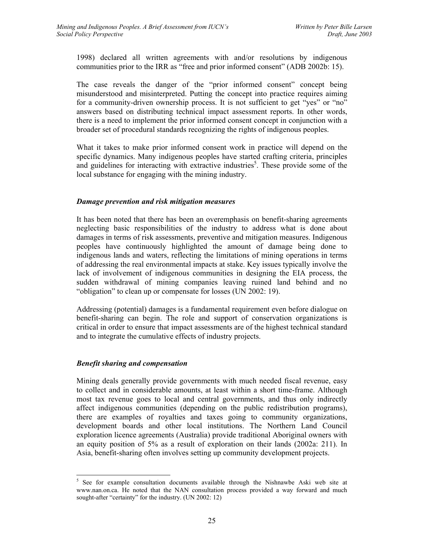1998) declared all written agreements with and/or resolutions by indigenous communities prior to the IRR as "free and prior informed consent" (ADB 2002b: 15).

The case reveals the danger of the "prior informed consent" concept being misunderstood and misinterpreted. Putting the concept into practice requires aiming for a community-driven ownership process. It is not sufficient to get "yes" or "no" answers based on distributing technical impact assessment reports. In other words, there is a need to implement the prior informed consent concept in conjunction with a broader set of procedural standards recognizing the rights of indigenous peoples.

What it takes to make prior informed consent work in practice will depend on the specific dynamics. Many indigenous peoples have started crafting criteria, principles and guidelines for interacting with extractive industries<sup>5</sup>. These provide some of the local substance for engaging with the mining industry.

#### *Damage prevention and risk mitigation measures*

It has been noted that there has been an overemphasis on benefit-sharing agreements neglecting basic responsibilities of the industry to address what is done about damages in terms of risk assessments, preventive and mitigation measures. Indigenous peoples have continuously highlighted the amount of damage being done to indigenous lands and waters, reflecting the limitations of mining operations in terms of addressing the real environmental impacts at stake. Key issues typically involve the lack of involvement of indigenous communities in designing the EIA process, the sudden withdrawal of mining companies leaving ruined land behind and no "obligation" to clean up or compensate for losses (UN 2002: 19).

Addressing (potential) damages is a fundamental requirement even before dialogue on benefit-sharing can begin. The role and support of conservation organizations is critical in order to ensure that impact assessments are of the highest technical standard and to integrate the cumulative effects of industry projects.

#### *Benefit sharing and compensation*

Mining deals generally provide governments with much needed fiscal revenue, easy to collect and in considerable amounts, at least within a short time-frame. Although most tax revenue goes to local and central governments, and thus only indirectly affect indigenous communities (depending on the public redistribution programs), there are examples of royalties and taxes going to community organizations, development boards and other local institutions. The Northern Land Council exploration licence agreements (Australia) provide traditional Aboriginal owners with an equity position of 5% as a result of exploration on their lands (2002a: 211). In Asia, benefit-sharing often involves setting up community development projects.

 5 See for example consultation documents available through the Nishnawbe Aski web site at www.nan.on.ca. He noted that the NAN consultation process provided a way forward and much sought-after "certainty" for the industry. (UN 2002: 12)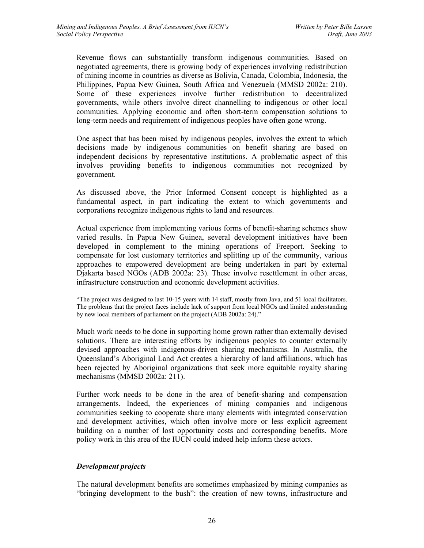Revenue flows can substantially transform indigenous communities. Based on negotiated agreements, there is growing body of experiences involving redistribution of mining income in countries as diverse as Bolivia, Canada, Colombia, Indonesia, the Philippines, Papua New Guinea, South Africa and Venezuela (MMSD 2002a: 210). Some of these experiences involve further redistribution to decentralized governments, while others involve direct channelling to indigenous or other local communities. Applying economic and often short-term compensation solutions to long-term needs and requirement of indigenous peoples have often gone wrong.

One aspect that has been raised by indigenous peoples, involves the extent to which decisions made by indigenous communities on benefit sharing are based on independent decisions by representative institutions. A problematic aspect of this involves providing benefits to indigenous communities not recognized by government.

As discussed above, the Prior Informed Consent concept is highlighted as a fundamental aspect, in part indicating the extent to which governments and corporations recognize indigenous rights to land and resources.

Actual experience from implementing various forms of benefit-sharing schemes show varied results. In Papua New Guinea, several development initiatives have been developed in complement to the mining operations of Freeport. Seeking to compensate for lost customary territories and splitting up of the community, various approaches to empowered development are being undertaken in part by external Djakarta based NGOs (ADB 2002a: 23). These involve resettlement in other areas, infrastructure construction and economic development activities.

"The project was designed to last 10-15 years with 14 staff, mostly from Java, and 51 local facilitators. The problems that the project faces include lack of support from local NGOs and limited understanding by new local members of parliament on the project (ADB 2002a: 24)."

Much work needs to be done in supporting home grown rather than externally devised solutions. There are interesting efforts by indigenous peoples to counter externally devised approaches with indigenous-driven sharing mechanisms. In Australia, the Queensland's Aboriginal Land Act creates a hierarchy of land affiliations, which has been rejected by Aboriginal organizations that seek more equitable royalty sharing mechanisms (MMSD 2002a: 211).

Further work needs to be done in the area of benefit-sharing and compensation arrangements. Indeed, the experiences of mining companies and indigenous communities seeking to cooperate share many elements with integrated conservation and development activities, which often involve more or less explicit agreement building on a number of lost opportunity costs and corresponding benefits. More policy work in this area of the IUCN could indeed help inform these actors.

# *Development projects*

The natural development benefits are sometimes emphasized by mining companies as "bringing development to the bush": the creation of new towns, infrastructure and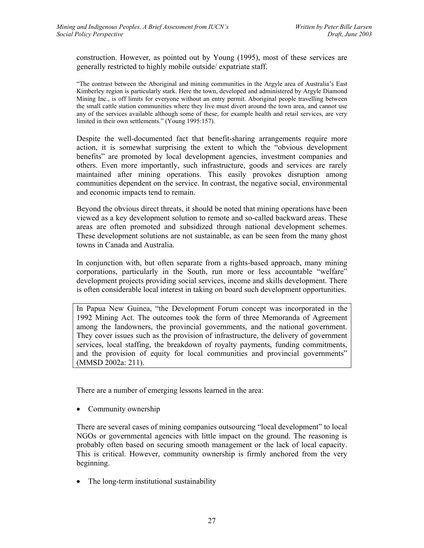construction. However, as pointed out by Young (1995), most of these services are generally restricted to highly mobile outside/ expatriate staff.

"The contrast between the Aboriginal and mining communities in the Argyle area of Australia's East Kimberley region is particularly stark. Here the town, developed and administered by Argyle Diamond Mining Inc., is off limits for everyone without an entry permit. Aboriginal people travelling between the small cattle station communities where they live must divert around the town area, and cannot use any of the services available although some of these, for example health and retail services, are very limited in their own settlements." (Young 1995:157).

Despite the well-documented fact that benefit-sharing arrangements require more action, it is somewhat surprising the extent to which the "obvious development benefits" are promoted by local development agencies, investment companies and others. Even more importantly, such infrastructure, goods and services are rarely maintained after mining operations. This easily provokes disruption among communities dependent on the service. In contrast, the negative social, environmental and economic impacts tend to remain.

Beyond the obvious direct threats, it should be noted that mining operations have been viewed as a key development solution to remote and so-called backward areas. These areas are often promoted and subsidized through national development schemes. These development solutions are not sustainable, as can be seen from the many ghost towns in Canada and Australia.

In conjunction with, but often separate from a rights-based approach, many mining corporations, particularly in the South, run more or less accountable "welfare" development projects providing social services, income and skills development. There is often considerable local interest in taking on board such development opportunities.

In Papua New Guinea, "the Development Forum concept was incorporated in the 1992 Mining Act. The outcomes took the form of three Memoranda of Agreement among the landowners, the provincial governments, and the national government. They cover issues such as the provision of infrastructure, the delivery of government services, local staffing, the breakdown of royalty payments, funding commitments, and the provision of equity for local communities and provincial governments" (MMSD 2002a: 211).

There are a number of emerging lessons learned in the area:

• Community ownership

There are several cases of mining companies outsourcing "local development" to local NGOs or governmental agencies with little impact on the ground. The reasoning is probably often based on securing smooth management or the lack of local capacity. This is critical. However, community ownership is firmly anchored from the very beginning.

• The long-term institutional sustainability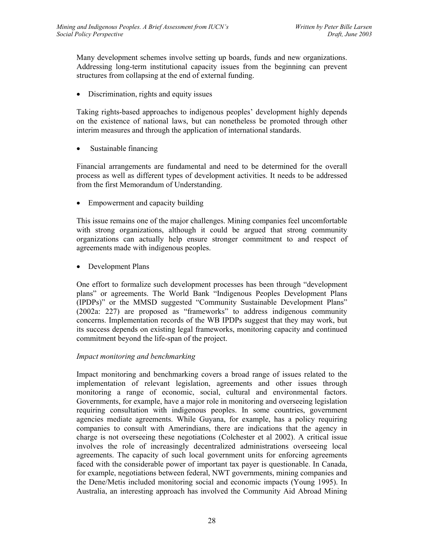Many development schemes involve setting up boards, funds and new organizations. Addressing long-term institutional capacity issues from the beginning can prevent structures from collapsing at the end of external funding.

• Discrimination, rights and equity issues

Taking rights-based approaches to indigenous peoples' development highly depends on the existence of national laws, but can nonetheless be promoted through other interim measures and through the application of international standards.

Sustainable financing

Financial arrangements are fundamental and need to be determined for the overall process as well as different types of development activities. It needs to be addressed from the first Memorandum of Understanding.

• Empowerment and capacity building

This issue remains one of the major challenges. Mining companies feel uncomfortable with strong organizations, although it could be argued that strong community organizations can actually help ensure stronger commitment to and respect of agreements made with indigenous peoples.

• Development Plans

One effort to formalize such development processes has been through "development plans" or agreements. The World Bank "Indigenous Peoples Development Plans (IPDPs)" or the MMSD suggested "Community Sustainable Development Plans" (2002a: 227) are proposed as "frameworks" to address indigenous community concerns. Implementation records of the WB IPDPs suggest that they may work, but its success depends on existing legal frameworks, monitoring capacity and continued commitment beyond the life-span of the project.

#### *Impact monitoring and benchmarking*

Impact monitoring and benchmarking covers a broad range of issues related to the implementation of relevant legislation, agreements and other issues through monitoring a range of economic, social, cultural and environmental factors. Governments, for example, have a major role in monitoring and overseeing legislation requiring consultation with indigenous peoples. In some countries, government agencies mediate agreements. While Guyana, for example, has a policy requiring companies to consult with Amerindians, there are indications that the agency in charge is not overseeing these negotiations (Colchester et al 2002). A critical issue involves the role of increasingly decentralized administrations overseeing local agreements. The capacity of such local government units for enforcing agreements faced with the considerable power of important tax payer is questionable. In Canada, for example, negotiations between federal, NWT governments, mining companies and the Dene/Metis included monitoring social and economic impacts (Young 1995). In Australia, an interesting approach has involved the Community Aid Abroad Mining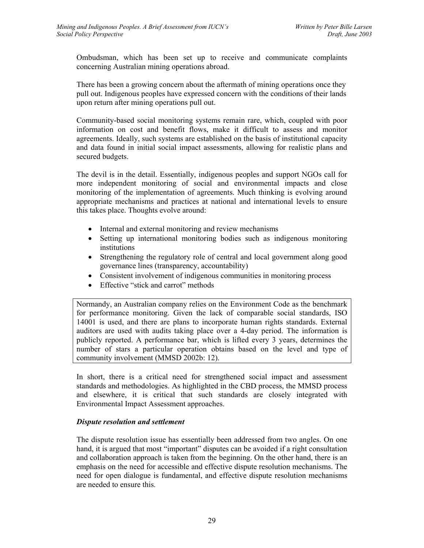Ombudsman, which has been set up to receive and communicate complaints concerning Australian mining operations abroad.

There has been a growing concern about the aftermath of mining operations once they pull out. Indigenous peoples have expressed concern with the conditions of their lands upon return after mining operations pull out.

Community-based social monitoring systems remain rare, which, coupled with poor information on cost and benefit flows, make it difficult to assess and monitor agreements. Ideally, such systems are established on the basis of institutional capacity and data found in initial social impact assessments, allowing for realistic plans and secured budgets.

The devil is in the detail. Essentially, indigenous peoples and support NGOs call for more independent monitoring of social and environmental impacts and close monitoring of the implementation of agreements. Much thinking is evolving around appropriate mechanisms and practices at national and international levels to ensure this takes place. Thoughts evolve around:

- Internal and external monitoring and review mechanisms
- Setting up international monitoring bodies such as indigenous monitoring institutions
- Strengthening the regulatory role of central and local government along good governance lines (transparency, accountability)
- Consistent involvement of indigenous communities in monitoring process
- Effective "stick and carrot" methods

Normandy, an Australian company relies on the Environment Code as the benchmark for performance monitoring. Given the lack of comparable social standards, ISO 14001 is used, and there are plans to incorporate human rights standards. External auditors are used with audits taking place over a 4-day period. The information is publicly reported. A performance bar, which is lifted every 3 years, determines the number of stars a particular operation obtains based on the level and type of community involvement (MMSD 2002b: 12).

In short, there is a critical need for strengthened social impact and assessment standards and methodologies. As highlighted in the CBD process, the MMSD process and elsewhere, it is critical that such standards are closely integrated with Environmental Impact Assessment approaches.

#### *Dispute resolution and settlement*

The dispute resolution issue has essentially been addressed from two angles. On one hand, it is argued that most "important" disputes can be avoided if a right consultation and collaboration approach is taken from the beginning. On the other hand, there is an emphasis on the need for accessible and effective dispute resolution mechanisms. The need for open dialogue is fundamental, and effective dispute resolution mechanisms are needed to ensure this.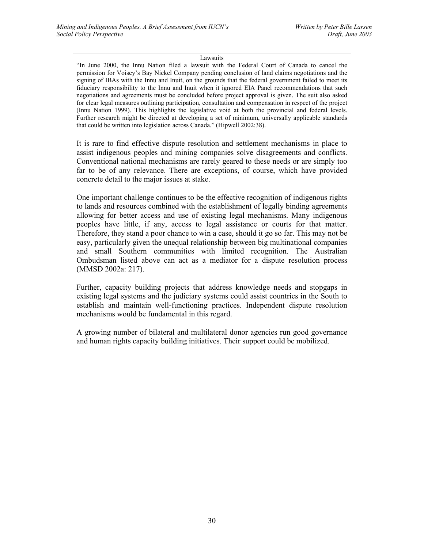#### Lawsuits

"In June 2000, the Innu Nation filed a lawsuit with the Federal Court of Canada to cancel the permission for Voisey's Bay Nickel Company pending conclusion of land claims negotiations and the signing of IBAs with the Innu and Inuit, on the grounds that the federal government failed to meet its fiduciary responsibility to the Innu and Inuit when it ignored EIA Panel recommendations that such negotiations and agreements must be concluded before project approval is given. The suit also asked for clear legal measures outlining participation, consultation and compensation in respect of the project (Innu Nation 1999). This highlights the legislative void at both the provincial and federal levels. Further research might be directed at developing a set of minimum, universally applicable standards that could be written into legislation across Canada." (Hipwell 2002:38).

It is rare to find effective dispute resolution and settlement mechanisms in place to assist indigenous peoples and mining companies solve disagreements and conflicts. Conventional national mechanisms are rarely geared to these needs or are simply too far to be of any relevance. There are exceptions, of course, which have provided concrete detail to the major issues at stake.

One important challenge continues to be the effective recognition of indigenous rights to lands and resources combined with the establishment of legally binding agreements allowing for better access and use of existing legal mechanisms. Many indigenous peoples have little, if any, access to legal assistance or courts for that matter. Therefore, they stand a poor chance to win a case, should it go so far. This may not be easy, particularly given the unequal relationship between big multinational companies and small Southern communities with limited recognition. The Australian Ombudsman listed above can act as a mediator for a dispute resolution process (MMSD 2002a: 217).

Further, capacity building projects that address knowledge needs and stopgaps in existing legal systems and the judiciary systems could assist countries in the South to establish and maintain well-functioning practices. Independent dispute resolution mechanisms would be fundamental in this regard.

A growing number of bilateral and multilateral donor agencies run good governance and human rights capacity building initiatives. Their support could be mobilized.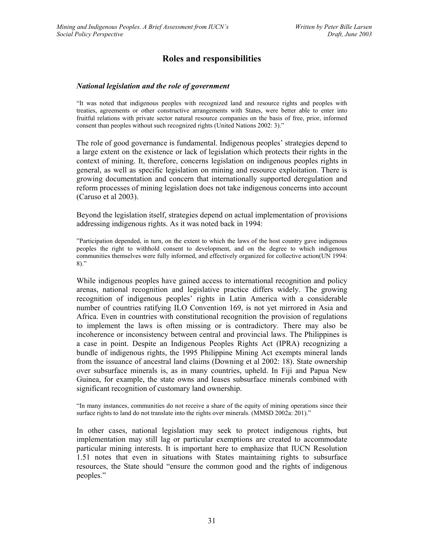# **Roles and responsibilities**

#### *National legislation and the role of government*

"It was noted that indigenous peoples with recognized land and resource rights and peoples with treaties, agreements or other constructive arrangements with States, were better able to enter into fruitful relations with private sector natural resource companies on the basis of free, prior, informed consent than peoples without such recognized rights (United Nations 2002: 3)."

The role of good governance is fundamental. Indigenous peoples' strategies depend to a large extent on the existence or lack of legislation which protects their rights in the context of mining. It, therefore, concerns legislation on indigenous peoples rights in general, as well as specific legislation on mining and resource exploitation. There is growing documentation and concern that internationally supported deregulation and reform processes of mining legislation does not take indigenous concerns into account (Caruso et al 2003).

Beyond the legislation itself, strategies depend on actual implementation of provisions addressing indigenous rights. As it was noted back in 1994:

"Participation depended, in turn, on the extent to which the laws of the host country gave indigenous peoples the right to withhold consent to development, and on the degree to which indigenous communities themselves were fully informed, and effectively organized for collective action(UN 1994: 8)."

While indigenous peoples have gained access to international recognition and policy arenas, national recognition and legislative practice differs widely. The growing recognition of indigenous peoples' rights in Latin America with a considerable number of countries ratifying ILO Convention 169, is not yet mirrored in Asia and Africa. Even in countries with constitutional recognition the provision of regulations to implement the laws is often missing or is contradictory. There may also be incoherence or inconsistency between central and provincial laws. The Philippines is a case in point. Despite an Indigenous Peoples Rights Act (IPRA) recognizing a bundle of indigenous rights, the 1995 Philippine Mining Act exempts mineral lands from the issuance of ancestral land claims (Downing et al 2002: 18). State ownership over subsurface minerals is, as in many countries, upheld. In Fiji and Papua New Guinea, for example, the state owns and leases subsurface minerals combined with significant recognition of customary land ownership.

"In many instances, communities do not receive a share of the equity of mining operations since their surface rights to land do not translate into the rights over minerals. (MMSD 2002a: 201)."

In other cases, national legislation may seek to protect indigenous rights, but implementation may still lag or particular exemptions are created to accommodate particular mining interests. It is important here to emphasize that IUCN Resolution 1.51 notes that even in situations with States maintaining rights to subsurface resources, the State should "ensure the common good and the rights of indigenous peoples."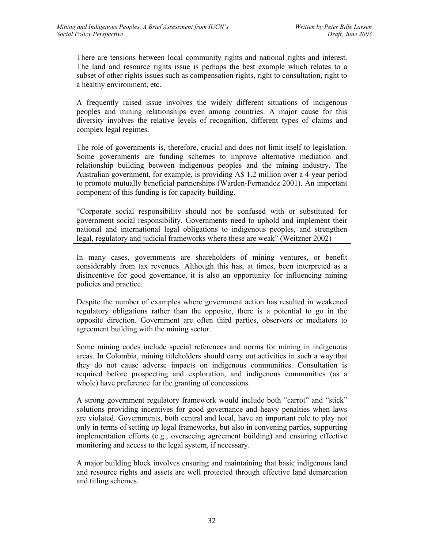There are tensions between local community rights and national rights and interest. The land and resource rights issue is perhaps the best example which relates to a subset of other rights issues such as compensation rights, right to consultation, right to a healthy environment, etc.

A frequently raised issue involves the widely different situations of indigenous peoples and mining relationships even among countries. A major cause for this diversity involves the relative levels of recognition, different types of claims and complex legal regimes.

The role of governments is, therefore, crucial and does not limit itself to legislation. Some governments are funding schemes to improve alternative mediation and relationship building between indigenous peoples and the mining industry. The Australian government, for example, is providing A\$ 1.2 million over a 4-year period to promote mutually beneficial partnerships (Warden-Fernandez 2001). An important component of this funding is for capacity building.

"Corporate social responsibility should not be confused with or substituted for government social responsibility. Governments need to uphold and implement their national and international legal obligations to indigenous peoples, and strengthen legal, regulatory and judicial frameworks where these are weak" (Weitzner 2002)

In many cases, governments are shareholders of mining ventures, or benefit considerably from tax revenues. Although this has, at times, been interpreted as a disincentive for good governance, it is also an opportunity for influencing mining policies and practice.

Despite the number of examples where government action has resulted in weakened regulatory obligations rather than the opposite, there is a potential to go in the opposite direction. Government are often third parties, observers or mediators to agreement building with the mining sector.

Some mining codes include special references and norms for mining in indigenous areas. In Colombia, mining titleholders should carry out activities in such a way that they do not cause adverse impacts on indigenous communities. Consultation is required before prospecting and exploration, and indigenous communities (as a whole) have preference for the granting of concessions.

A strong government regulatory framework would include both "carrot" and "stick" solutions providing incentives for good governance and heavy penalties when laws are violated. Governments, both central and local, have an important role to play not only in terms of setting up legal frameworks, but also in convening parties, supporting implementation efforts (e.g., overseeing agreement building) and ensuring effective monitoring and access to the legal system, if necessary.

A major building block involves ensuring and maintaining that basic indigenous land and resource rights and assets are well protected through effective land demarcation and titling schemes.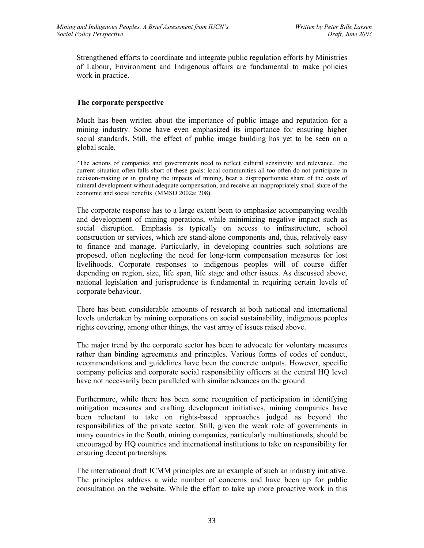Strengthened efforts to coordinate and integrate public regulation efforts by Ministries of Labour, Environment and Indigenous affairs are fundamental to make policies work in practice.

#### **The corporate perspective**

Much has been written about the importance of public image and reputation for a mining industry. Some have even emphasized its importance for ensuring higher social standards. Still, the effect of public image building has yet to be seen on a global scale.

"The actions of companies and governments need to reflect cultural sensitivity and relevance…the current situation often falls short of these goals: local communities all too often do not participate in decision-making or in guiding the impacts of mining, bear a disproportionate share of the costs of mineral development without adequate compensation, and receive an inappropriately small share of the economic and social benefits (MMSD 2002a: 208).

The corporate response has to a large extent been to emphasize accompanying wealth and development of mining operations, while minimizing negative impact such as social disruption. Emphasis is typically on access to infrastructure, school construction or services, which are stand-alone components and, thus, relatively easy to finance and manage. Particularly, in developing countries such solutions are proposed, often neglecting the need for long-term compensation measures for lost livelihoods. Corporate responses to indigenous peoples will of course differ depending on region, size, life span, life stage and other issues. As discussed above, national legislation and jurisprudence is fundamental in requiring certain levels of corporate behaviour.

There has been considerable amounts of research at both national and international levels undertaken by mining corporations on social sustainability, indigenous peoples rights covering, among other things, the vast array of issues raised above.

The major trend by the corporate sector has been to advocate for voluntary measures rather than binding agreements and principles. Various forms of codes of conduct, recommendations and guidelines have been the concrete outputs. However, specific company policies and corporate social responsibility officers at the central HQ level have not necessarily been paralleled with similar advances on the ground

Furthermore, while there has been some recognition of participation in identifying mitigation measures and crafting development initiatives, mining companies have been reluctant to take on rights-based approaches judged as beyond the responsibilities of the private sector. Still, given the weak role of governments in many countries in the South, mining companies, particularly multinationals, should be encouraged by HQ countries and international institutions to take on responsibility for ensuring decent partnerships.

The international draft ICMM principles are an example of such an industry initiative. The principles address a wide number of concerns and have been up for public consultation on the website. While the effort to take up more proactive work in this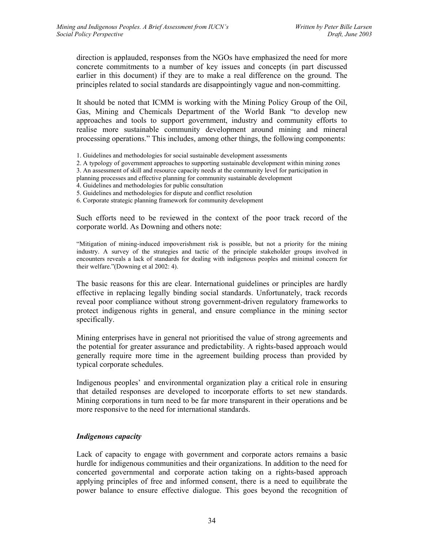direction is applauded, responses from the NGOs have emphasized the need for more concrete commitments to a number of key issues and concepts (in part discussed earlier in this document) if they are to make a real difference on the ground. The principles related to social standards are disappointingly vague and non-committing.

It should be noted that ICMM is working with the Mining Policy Group of the Oil, Gas, Mining and Chemicals Department of the World Bank "to develop new approaches and tools to support government, industry and community efforts to realise more sustainable community development around mining and mineral processing operations." This includes, among other things, the following components:

1. Guidelines and methodologies for social sustainable development assessments

2. A typology of government approaches to supporting sustainable development within mining zones

3. An assessment of skill and resource capacity needs at the community level for participation in

planning processes and effective planning for community sustainable development

- 4. Guidelines and methodologies for public consultation
- 5. Guidelines and methodologies for dispute and conflict resolution
- 6. Corporate strategic planning framework for community development

Such efforts need to be reviewed in the context of the poor track record of the corporate world. As Downing and others note:

"Mitigation of mining-induced impoverishment risk is possible, but not a priority for the mining industry. A survey of the strategies and tactic of the principle stakeholder groups involved in encounters reveals a lack of standards for dealing with indigenous peoples and minimal concern for their welfare."(Downing et al 2002: 4).

The basic reasons for this are clear. International guidelines or principles are hardly effective in replacing legally binding social standards. Unfortunately, track records reveal poor compliance without strong government-driven regulatory frameworks to protect indigenous rights in general, and ensure compliance in the mining sector specifically.

Mining enterprises have in general not prioritised the value of strong agreements and the potential for greater assurance and predictability. A rights-based approach would generally require more time in the agreement building process than provided by typical corporate schedules.

Indigenous peoples' and environmental organization play a critical role in ensuring that detailed responses are developed to incorporate efforts to set new standards. Mining corporations in turn need to be far more transparent in their operations and be more responsive to the need for international standards.

#### *Indigenous capacity*

Lack of capacity to engage with government and corporate actors remains a basic hurdle for indigenous communities and their organizations. In addition to the need for concerted governmental and corporate action taking on a rights-based approach applying principles of free and informed consent, there is a need to equilibrate the power balance to ensure effective dialogue. This goes beyond the recognition of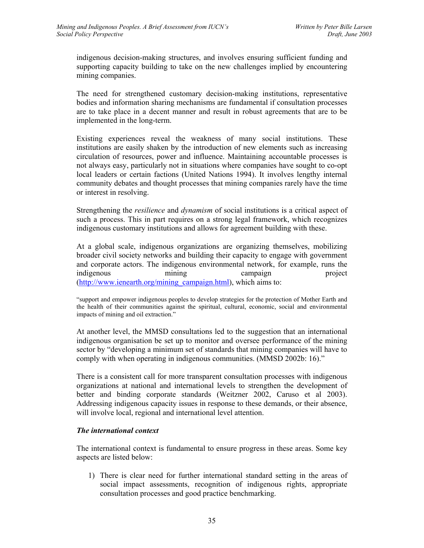indigenous decision-making structures, and involves ensuring sufficient funding and supporting capacity building to take on the new challenges implied by encountering mining companies.

The need for strengthened customary decision-making institutions, representative bodies and information sharing mechanisms are fundamental if consultation processes are to take place in a decent manner and result in robust agreements that are to be implemented in the long-term.

Existing experiences reveal the weakness of many social institutions. These institutions are easily shaken by the introduction of new elements such as increasing circulation of resources, power and influence. Maintaining accountable processes is not always easy, particularly not in situations where companies have sought to co-opt local leaders or certain factions (United Nations 1994). It involves lengthy internal community debates and thought processes that mining companies rarely have the time or interest in resolving.

Strengthening the *resilience* and *dynamism* of social institutions is a critical aspect of such a process. This in part requires on a strong legal framework, which recognizes indigenous customary institutions and allows for agreement building with these.

At a global scale, indigenous organizations are organizing themselves, mobilizing broader civil society networks and building their capacity to engage with government and corporate actors. The indigenous environmental network, for example, runs the indigenous mining campaign project (http://www.ienearth.org/mining\_campaign.html), which aims to:

"support and empower indigenous peoples to develop strategies for the protection of Mother Earth and the health of their communities against the spiritual, cultural, economic, social and environmental impacts of mining and oil extraction."

At another level, the MMSD consultations led to the suggestion that an international indigenous organisation be set up to monitor and oversee performance of the mining sector by "developing a minimum set of standards that mining companies will have to comply with when operating in indigenous communities. (MMSD 2002b: 16)."

There is a consistent call for more transparent consultation processes with indigenous organizations at national and international levels to strengthen the development of better and binding corporate standards (Weitzner 2002, Caruso et al 2003). Addressing indigenous capacity issues in response to these demands, or their absence, will involve local, regional and international level attention.

#### *The international context*

The international context is fundamental to ensure progress in these areas. Some key aspects are listed below:

1) There is clear need for further international standard setting in the areas of social impact assessments, recognition of indigenous rights, appropriate consultation processes and good practice benchmarking.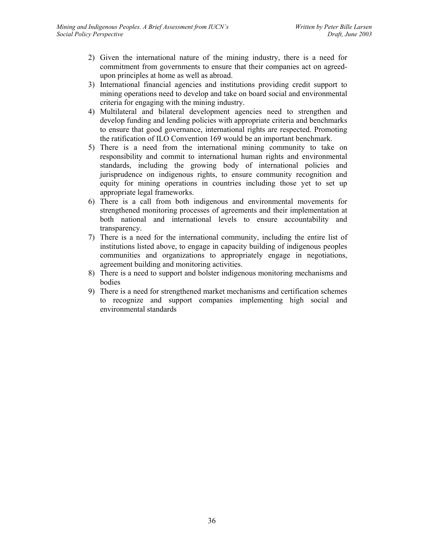- 2) Given the international nature of the mining industry, there is a need for commitment from governments to ensure that their companies act on agreedupon principles at home as well as abroad.
- 3) International financial agencies and institutions providing credit support to mining operations need to develop and take on board social and environmental criteria for engaging with the mining industry.
- 4) Multilateral and bilateral development agencies need to strengthen and develop funding and lending policies with appropriate criteria and benchmarks to ensure that good governance, international rights are respected. Promoting the ratification of ILO Convention 169 would be an important benchmark.
- 5) There is a need from the international mining community to take on responsibility and commit to international human rights and environmental standards, including the growing body of international policies and jurisprudence on indigenous rights, to ensure community recognition and equity for mining operations in countries including those yet to set up appropriate legal frameworks.
- 6) There is a call from both indigenous and environmental movements for strengthened monitoring processes of agreements and their implementation at both national and international levels to ensure accountability and transparency.
- 7) There is a need for the international community, including the entire list of institutions listed above, to engage in capacity building of indigenous peoples communities and organizations to appropriately engage in negotiations, agreement building and monitoring activities.
- 8) There is a need to support and bolster indigenous monitoring mechanisms and bodies
- 9) There is a need for strengthened market mechanisms and certification schemes to recognize and support companies implementing high social and environmental standards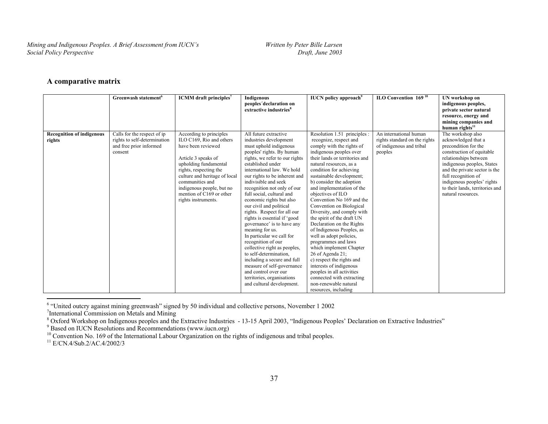## **A comparative matrix**

|                                            | Greenwash statement <sup>6</sup>                                                                  | <b>ICMM</b> draft principles <sup>7</sup>                                                                                                                                                                                                                                               | Indigenous<br>peoples'declaration on<br>extractive industries <sup>8</sup>                                                                                                                                                                                                                                                                                                                                                                                                                                                                                                                                                                                                                                                                           | <b>IUCN</b> policy approach <sup>9</sup>                                                                                                                                                                                                                                                                                                                                                                                                                                                                                                                                                                                                                                                                                                                            | ILO Convention 169 <sup>10</sup>                                                               | UN workshop on<br>indigenous peoples,<br>private sector natural<br>resource, energy and<br>mining companies and<br>human rights <sup>11</sup>                                                                                                                                                       |
|--------------------------------------------|---------------------------------------------------------------------------------------------------|-----------------------------------------------------------------------------------------------------------------------------------------------------------------------------------------------------------------------------------------------------------------------------------------|------------------------------------------------------------------------------------------------------------------------------------------------------------------------------------------------------------------------------------------------------------------------------------------------------------------------------------------------------------------------------------------------------------------------------------------------------------------------------------------------------------------------------------------------------------------------------------------------------------------------------------------------------------------------------------------------------------------------------------------------------|---------------------------------------------------------------------------------------------------------------------------------------------------------------------------------------------------------------------------------------------------------------------------------------------------------------------------------------------------------------------------------------------------------------------------------------------------------------------------------------------------------------------------------------------------------------------------------------------------------------------------------------------------------------------------------------------------------------------------------------------------------------------|------------------------------------------------------------------------------------------------|-----------------------------------------------------------------------------------------------------------------------------------------------------------------------------------------------------------------------------------------------------------------------------------------------------|
| <b>Recognition of indigenous</b><br>rights | Calls for the respect of ip<br>rights to self-determination<br>and free prior informed<br>consent | According to principles<br>ILO C169, Rio and others<br>have been reviewed<br>Article 3 speaks of<br>upholding fundamental<br>rights, respecting the<br>culture and heritage of local<br>communities and<br>indigenous people, but no<br>mention of C169 or other<br>rights instruments. | All future extractive<br>industries development<br>must uphold indigenous<br>peoples' rights. By human<br>rights, we refer to our rights<br>established under<br>international law. We hold<br>our rights to be inherent and<br>indivisible and seek<br>recognition not only of our<br>full social, cultural and<br>economic rights but also<br>our civil and political<br>rights. Respect for all our<br>rights is essential if 'good<br>governance' is to have any<br>meaning for us.<br>In particular we call for<br>recognition of our<br>collective right as peoples,<br>to self-determination,<br>including a secure and full<br>measure of self-governance<br>and control over our<br>territories, organisations<br>and cultural development. | Resolution 1.51 principles :<br>recognize, respect and<br>comply with the rights of<br>indigenous peoples over<br>their lands or territories and<br>natural resources, as a<br>condition for achieving<br>sustainable development;<br>b) consider the adoption<br>and implementation of the<br>objectives of ILO<br>Convention No 169 and the<br>Convention on Biological<br>Diversity, and comply with<br>the spirit of the draft UN<br>Declaration on the Rights<br>of Indigenous Peoples, as<br>well as adopt policies,<br>programmes and laws<br>which implement Chapter<br>26 of Agenda 21;<br>c) respect the rights and<br>interests of indigenous<br>peoples in all activities<br>connected with extracting<br>non-renewable natural<br>resources, including | An international human<br>rights standard on the rights<br>of indigenous and tribal<br>peoples | The workshop also<br>acknowledged that a<br>precondition for the<br>construction of equitable<br>relationships between<br>indigenous peoples, States<br>and the private sector is the<br>full recognition of<br>indigenous peoples' rights<br>to their lands, territories and<br>natural resources. |

6 "United outcry against mining greenwash" signed by 50 individual and collective persons, November 1 2002

<sup>7</sup>International Commission on Metals and Mining

<sup>8</sup> Oxford Workshop on Indigenous peoples and the Extractive Industries - 13-15 April 2003, "Indigenous Peoples' Declaration on Extractive Industries"

 $9^9$  Based on IUCN Resolutions and Recommendations (www.iucn.org)

 $10^1$  Convention No. 169 of the International Labour Organization on the rights of indigenous and tribal peoples.

<sup>11</sup> E/CN.4/Sub.2/AC.4/2002/3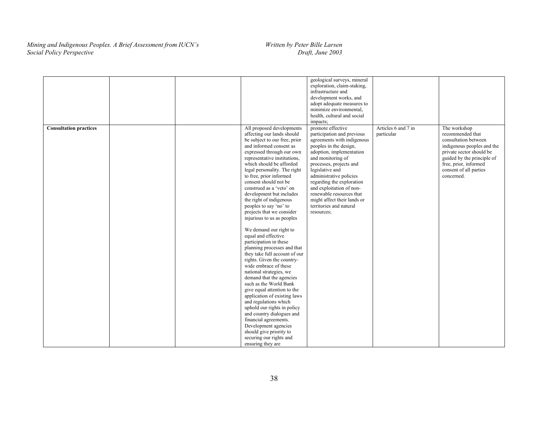|                               |  |                                                                                                                                                                                                                                                                                                                                                                                                                                                                                                                                                                                                                                                                                                                                                                                                                                                                                                                                                                                                                                             | geological surveys, mineral<br>exploration, claim-staking,<br>infrastructure and<br>development works, and<br>adopt adequate measures to<br>minimize environmental,<br>health, cultural and social<br>impacts;                                                                                                                                                                                 |                                   |                                                                                                                                                                                                                   |
|-------------------------------|--|---------------------------------------------------------------------------------------------------------------------------------------------------------------------------------------------------------------------------------------------------------------------------------------------------------------------------------------------------------------------------------------------------------------------------------------------------------------------------------------------------------------------------------------------------------------------------------------------------------------------------------------------------------------------------------------------------------------------------------------------------------------------------------------------------------------------------------------------------------------------------------------------------------------------------------------------------------------------------------------------------------------------------------------------|------------------------------------------------------------------------------------------------------------------------------------------------------------------------------------------------------------------------------------------------------------------------------------------------------------------------------------------------------------------------------------------------|-----------------------------------|-------------------------------------------------------------------------------------------------------------------------------------------------------------------------------------------------------------------|
| <b>Consultation practices</b> |  | All proposed developments<br>affecting our lands should<br>be subject to our free, prior<br>and informed consent as<br>expressed through our own<br>representative institutions,<br>which should be afforded<br>legal personality. The right<br>to free, prior informed<br>consent should not be<br>construed as a 'veto' on<br>development but includes<br>the right of indigenous<br>peoples to say 'no' to<br>projects that we consider<br>injurious to us as peoples<br>We demand our right to<br>equal and effective<br>participation in these<br>planning processes and that<br>they take full account of our<br>rights. Given the country-<br>wide embrace of these<br>national strategies, we<br>demand that the agencies<br>such as the World Bank<br>give equal attention to the<br>application of existing laws<br>and regulations which<br>uphold our rights in policy<br>and country dialogues and<br>financial agreements.<br>Development agencies<br>should give priority to<br>securing our rights and<br>ensuring they are | promote effective<br>participation and previous<br>agreements with indigenous<br>peoples in the design,<br>adoption, implementation<br>and monitoring of<br>processes, projects and<br>legislative and<br>administrative policies<br>regarding the exploration<br>and exploitation of non-<br>renewable resources that<br>might affect their lands or<br>territories and natural<br>resources; | Articles 6 and 7 in<br>particular | The workshop<br>recommended that<br>consultation between<br>indigenous peoples and the<br>private sector should be<br>guided by the principle of<br>free, prior, informed<br>consent of all parties<br>concerned. |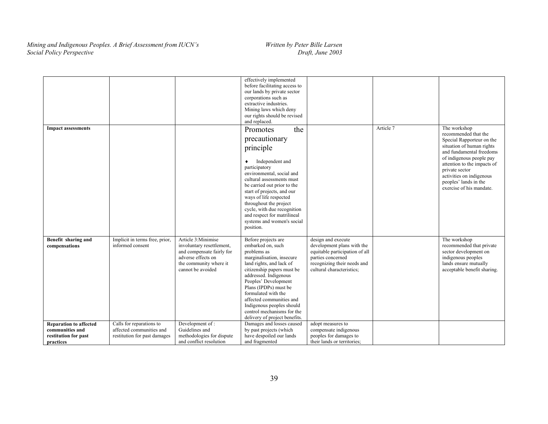|                                                                                       |                                                                                      |                                                                                                                                                   | effectively implemented<br>before facilitating access to<br>our lands by private sector<br>corporations such as<br>extractive industries.<br>Mining laws which deny<br>our rights should be revised<br>and replaced.                                                                                                                                                       |                                                                                                                                                                     |           |                                                                                                                                                                                                                                                                                          |
|---------------------------------------------------------------------------------------|--------------------------------------------------------------------------------------|---------------------------------------------------------------------------------------------------------------------------------------------------|----------------------------------------------------------------------------------------------------------------------------------------------------------------------------------------------------------------------------------------------------------------------------------------------------------------------------------------------------------------------------|---------------------------------------------------------------------------------------------------------------------------------------------------------------------|-----------|------------------------------------------------------------------------------------------------------------------------------------------------------------------------------------------------------------------------------------------------------------------------------------------|
| <b>Impact assessments</b>                                                             |                                                                                      |                                                                                                                                                   | Promotes<br>the<br>precautionary<br>principle<br>Independent and<br>٠<br>participatory<br>environmental, social and<br>cultural assessments must<br>be carried out prior to the<br>start of projects, and our<br>ways of life respected<br>throughout the project<br>cycle, with due recognition<br>and respect for matrilineal<br>systems and women's social<br>position. |                                                                                                                                                                     | Article 7 | The workshop<br>recommended that the<br>Special Rapporteur on the<br>situation of human rights<br>and fundamental freedoms<br>of indigenous people pay<br>attention to the impacts of<br>private sector<br>activities on indigenous<br>peoples' lands in the<br>exercise of his mandate. |
| Benefit sharing and<br>compensations                                                  | Implicit in terms free, prior,<br>informed consent                                   | Article 3:Minimise<br>involuntary resettlement,<br>and compensate fairly for<br>adverse effects on<br>the community where it<br>cannot be avoided | Before projects are<br>embarked on, such<br>problems as<br>marginalisation, insecure<br>land rights, and lack of<br>citizenship papers must be<br>addressed. Indigenous<br>Peoples' Development<br>Plans (IPDPs) must be<br>formulated with the<br>affected communities and<br>Indigenous peoples should<br>control mechanisms for the<br>delivery of project benefits.    | design and execute<br>development plans with the<br>equitable participation of all<br>parties concerned<br>recognizing their needs and<br>cultural characteristics; |           | The workshop<br>recommended that private<br>sector development on<br>indigenous peoples<br>lands ensure mutually<br>acceptable benefit sharing.                                                                                                                                          |
| <b>Reparation to affected</b><br>communities and<br>restitution for past<br>practices | Calls for reparations to<br>affected communities and<br>restitution for past damages | Development of:<br>Guidelines and<br>methodologies for dispute<br>and conflict resolution                                                         | Damages and losses caused<br>by past projects (which<br>have despoiled our lands<br>and fragmented                                                                                                                                                                                                                                                                         | adopt measures to<br>compensate indigenous<br>peoples for damages to<br>their lands or territories;                                                                 |           |                                                                                                                                                                                                                                                                                          |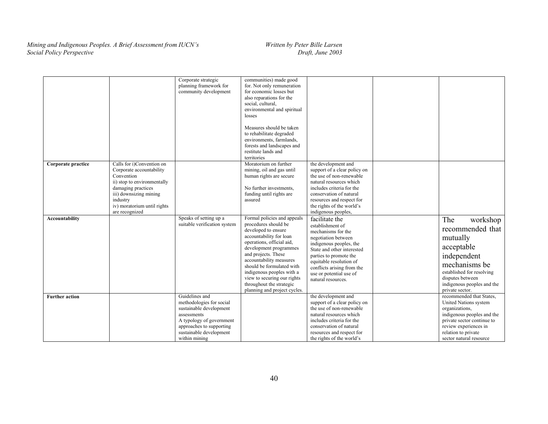|                       |                                                                                                                                                                                                                 | Corporate strategic<br>planning framework for<br>community development                                                                                                                   | communities) made good<br>for. Not only remuneration<br>for economic losses but<br>also reparations for the<br>social, cultural,<br>environmental and spiritual<br>losses<br>Measures should be taken<br>to rehabilitate degraded<br>environments, farmlands,<br>forests and landscapes and<br>restitute lands and<br>territories                                   |                                                                                                                                                                                                                                                                              |                                                                                                                                                                                                            |
|-----------------------|-----------------------------------------------------------------------------------------------------------------------------------------------------------------------------------------------------------------|------------------------------------------------------------------------------------------------------------------------------------------------------------------------------------------|---------------------------------------------------------------------------------------------------------------------------------------------------------------------------------------------------------------------------------------------------------------------------------------------------------------------------------------------------------------------|------------------------------------------------------------------------------------------------------------------------------------------------------------------------------------------------------------------------------------------------------------------------------|------------------------------------------------------------------------------------------------------------------------------------------------------------------------------------------------------------|
| Corporate practice    | Calls for i)Convention on<br>Corporate accountability<br>Convention<br>ii) stop to environmentally<br>damaging practices<br>iii) downsizing mining<br>industry<br>iv) moratorium until rights<br>are recognized |                                                                                                                                                                                          | Moratorium on further<br>mining, oil and gas until<br>human rights are secure<br>No further investments,<br>funding until rights are<br>assured                                                                                                                                                                                                                     | the development and<br>support of a clear policy on<br>the use of non-renewable<br>natural resources which<br>includes criteria for the<br>conservation of natural<br>resources and respect for<br>the rights of the world's<br>indigenous peoples,                          |                                                                                                                                                                                                            |
| Accountability        |                                                                                                                                                                                                                 | Speaks of setting up a<br>suitable verification system                                                                                                                                   | Formal policies and appeals<br>procedures should be<br>developed to ensure<br>accountability for loan<br>operations, official aid,<br>development programmes<br>and projects. These<br>accountability measures<br>should be formulated with<br>indigenous peoples with a<br>view to securing our rights<br>throughout the strategic<br>planning and project cycles. | facilitate the<br>establishment of<br>mechanisms for the<br>negotiation between<br>indigenous peoples, the<br>State and other interested<br>parties to promote the<br>equitable resolution of<br>conflicts arising from the<br>use or potential use of<br>natural resources. | The<br>workshop<br>recommended that<br>mutually<br>acceptable<br>independent<br>mechanisms be<br>established for resolving<br>disputes between<br>indigenous peoples and the<br>private sector.            |
| <b>Further action</b> |                                                                                                                                                                                                                 | Guidelines and<br>methodologies for social<br>sustainable development<br>assessments<br>A typology of government<br>approaches to supporting<br>sustainable development<br>within mining |                                                                                                                                                                                                                                                                                                                                                                     | the development and<br>support of a clear policy on<br>the use of non-renewable<br>natural resources which<br>includes criteria for the<br>conservation of natural<br>resources and respect for<br>the rights of the world's                                                 | recommended that States,<br>United Nations system<br>organizations,<br>indigenous peoples and the<br>private sector continue to<br>review experiences in<br>relation to private<br>sector natural resource |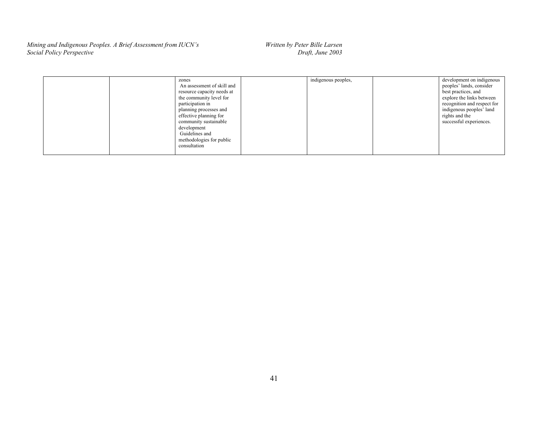| zones<br>An assessment of skill and<br>resource capacity needs at<br>the community level for<br>participation in<br>planning processes and<br>effective planning for<br>community sustainable<br>development<br>Guidelines and<br>methodologies for public<br>consultation | indigenous peoples, | development on indigenous<br>peoples' lands, consider<br>best practices, and<br>explore the links between<br>recognition and respect for<br>indigenous peoples' land<br>rights and the<br>successful experiences. |
|----------------------------------------------------------------------------------------------------------------------------------------------------------------------------------------------------------------------------------------------------------------------------|---------------------|-------------------------------------------------------------------------------------------------------------------------------------------------------------------------------------------------------------------|
|                                                                                                                                                                                                                                                                            |                     |                                                                                                                                                                                                                   |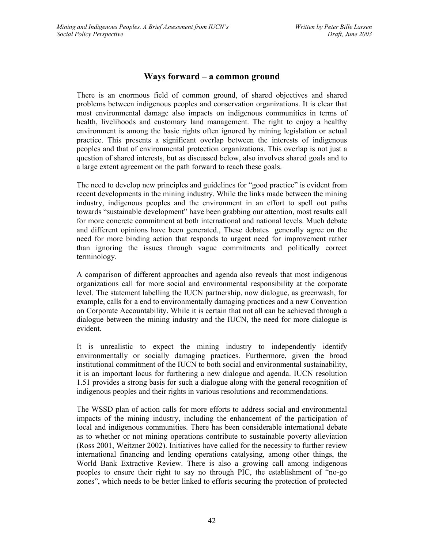# **Ways forward – a common ground**

There is an enormous field of common ground, of shared objectives and shared problems between indigenous peoples and conservation organizations. It is clear that most environmental damage also impacts on indigenous communities in terms of health, livelihoods and customary land management. The right to enjoy a healthy environment is among the basic rights often ignored by mining legislation or actual practice. This presents a significant overlap between the interests of indigenous peoples and that of environmental protection organizations. This overlap is not just a question of shared interests, but as discussed below, also involves shared goals and to a large extent agreement on the path forward to reach these goals.

The need to develop new principles and guidelines for "good practice" is evident from recent developments in the mining industry. While the links made between the mining industry, indigenous peoples and the environment in an effort to spell out paths towards "sustainable development" have been grabbing our attention, most results call for more concrete commitment at both international and national levels. Much debate and different opinions have been generated., These debates generally agree on the need for more binding action that responds to urgent need for improvement rather than ignoring the issues through vague commitments and politically correct terminology.

A comparison of different approaches and agenda also reveals that most indigenous organizations call for more social and environmental responsibility at the corporate level. The statement labelling the IUCN partnership, now dialogue, as greenwash, for example, calls for a end to environmentally damaging practices and a new Convention on Corporate Accountability. While it is certain that not all can be achieved through a dialogue between the mining industry and the IUCN, the need for more dialogue is evident.

It is unrealistic to expect the mining industry to independently identify environmentally or socially damaging practices. Furthermore, given the broad institutional commitment of the IUCN to both social and environmental sustainability, it is an important locus for furthering a new dialogue and agenda. IUCN resolution 1.51 provides a strong basis for such a dialogue along with the general recognition of indigenous peoples and their rights in various resolutions and recommendations.

The WSSD plan of action calls for more efforts to address social and environmental impacts of the mining industry, including the enhancement of the participation of local and indigenous communities. There has been considerable international debate as to whether or not mining operations contribute to sustainable poverty alleviation (Ross 2001, Weitzner 2002). Initiatives have called for the necessity to further review international financing and lending operations catalysing, among other things, the World Bank Extractive Review. There is also a growing call among indigenous peoples to ensure their right to say no through PIC, the establishment of "no-go zones", which needs to be better linked to efforts securing the protection of protected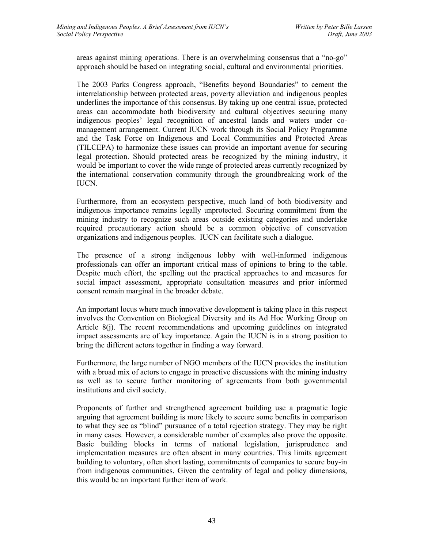areas against mining operations. There is an overwhelming consensus that a "no-go" approach should be based on integrating social, cultural and environmental priorities.

The 2003 Parks Congress approach, "Benefits beyond Boundaries" to cement the interrelationship between protected areas, poverty alleviation and indigenous peoples underlines the importance of this consensus. By taking up one central issue, protected areas can accommodate both biodiversity and cultural objectives securing many indigenous peoples' legal recognition of ancestral lands and waters under comanagement arrangement. Current IUCN work through its Social Policy Programme and the Task Force on Indigenous and Local Communities and Protected Areas (TILCEPA) to harmonize these issues can provide an important avenue for securing legal protection. Should protected areas be recognized by the mining industry, it would be important to cover the wide range of protected areas currently recognized by the international conservation community through the groundbreaking work of the IUCN.

Furthermore, from an ecosystem perspective, much land of both biodiversity and indigenous importance remains legally unprotected. Securing commitment from the mining industry to recognize such areas outside existing categories and undertake required precautionary action should be a common objective of conservation organizations and indigenous peoples. IUCN can facilitate such a dialogue.

The presence of a strong indigenous lobby with well-informed indigenous professionals can offer an important critical mass of opinions to bring to the table. Despite much effort, the spelling out the practical approaches to and measures for social impact assessment, appropriate consultation measures and prior informed consent remain marginal in the broader debate.

An important locus where much innovative development is taking place in this respect involves the Convention on Biological Diversity and its Ad Hoc Working Group on Article 8(j). The recent recommendations and upcoming guidelines on integrated impact assessments are of key importance. Again the IUCN is in a strong position to bring the different actors together in finding a way forward.

Furthermore, the large number of NGO members of the IUCN provides the institution with a broad mix of actors to engage in proactive discussions with the mining industry as well as to secure further monitoring of agreements from both governmental institutions and civil society.

Proponents of further and strengthened agreement building use a pragmatic logic arguing that agreement building is more likely to secure some benefits in comparison to what they see as "blind" pursuance of a total rejection strategy. They may be right in many cases. However, a considerable number of examples also prove the opposite. Basic building blocks in terms of national legislation, jurisprudence and implementation measures are often absent in many countries. This limits agreement building to voluntary, often short lasting, commitments of companies to secure buy-in from indigenous communities. Given the centrality of legal and policy dimensions, this would be an important further item of work.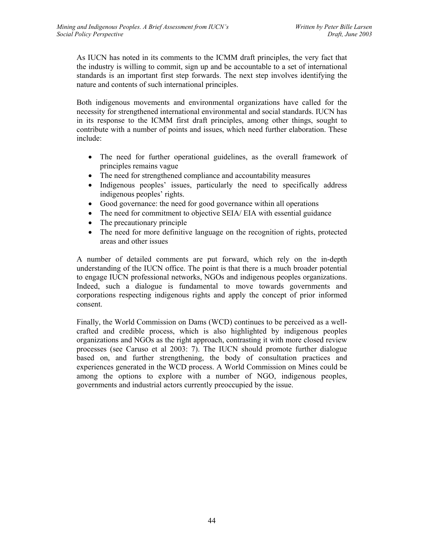As IUCN has noted in its comments to the ICMM draft principles, the very fact that the industry is willing to commit, sign up and be accountable to a set of international standards is an important first step forwards. The next step involves identifying the nature and contents of such international principles.

Both indigenous movements and environmental organizations have called for the necessity for strengthened international environmental and social standards. IUCN has in its response to the ICMM first draft principles, among other things, sought to contribute with a number of points and issues, which need further elaboration. These include:

- The need for further operational guidelines, as the overall framework of principles remains vague
- The need for strengthened compliance and accountability measures
- Indigenous peoples' issues, particularly the need to specifically address indigenous peoples' rights.
- Good governance: the need for good governance within all operations
- The need for commitment to objective SEIA/ EIA with essential guidance
- The precautionary principle
- The need for more definitive language on the recognition of rights, protected areas and other issues

A number of detailed comments are put forward, which rely on the in-depth understanding of the IUCN office. The point is that there is a much broader potential to engage IUCN professional networks, NGOs and indigenous peoples organizations. Indeed, such a dialogue is fundamental to move towards governments and corporations respecting indigenous rights and apply the concept of prior informed consent.

Finally, the World Commission on Dams (WCD) continues to be perceived as a wellcrafted and credible process, which is also highlighted by indigenous peoples organizations and NGOs as the right approach, contrasting it with more closed review processes (see Caruso et al 2003: 7). The IUCN should promote further dialogue based on, and further strengthening, the body of consultation practices and experiences generated in the WCD process. A World Commission on Mines could be among the options to explore with a number of NGO, indigenous peoples, governments and industrial actors currently preoccupied by the issue.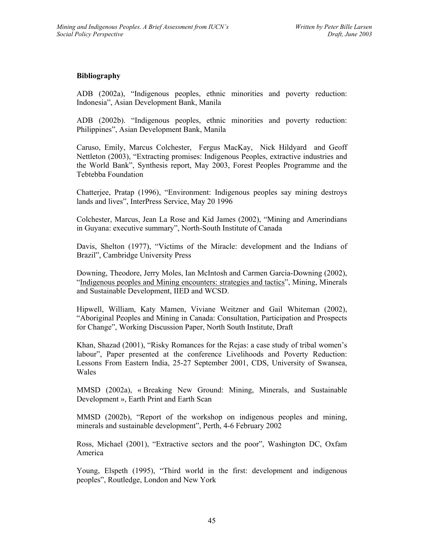#### **Bibliography**

ADB (2002a), "Indigenous peoples, ethnic minorities and poverty reduction: Indonesia", Asian Development Bank, Manila

ADB (2002b). "Indigenous peoples, ethnic minorities and poverty reduction: Philippines", Asian Development Bank, Manila

Caruso, Emily, Marcus Colchester, Fergus MacKay, Nick Hildyard and Geoff Nettleton (2003), "Extracting promises: Indigenous Peoples, extractive industries and the World Bank", Synthesis report, May 2003, Forest Peoples Programme and the Tebtebba Foundation

Chatterjee, Pratap (1996), "Environment: Indigenous peoples say mining destroys lands and lives", InterPress Service, May 20 1996

Colchester, Marcus, Jean La Rose and Kid James (2002), "Mining and Amerindians in Guyana: executive summary", North-South Institute of Canada

Davis, Shelton (1977), "Victims of the Miracle: development and the Indians of Brazil", Cambridge University Press

Downing, Theodore, Jerry Moles, Ian McIntosh and Carmen Garcia-Downing (2002), "Indigenous peoples and Mining encounters: strategies and tactics", Mining, Minerals and Sustainable Development, IIED and WCSD.

Hipwell, William, Katy Mamen, Viviane Weitzner and Gail Whiteman (2002), "Aboriginal Peoples and Mining in Canada: Consultation, Participation and Prospects for Change", Working Discussion Paper, North South Institute, Draft

Khan, Shazad (2001), "Risky Romances for the Rejas: a case study of tribal women's labour", Paper presented at the conference Livelihoods and Poverty Reduction: Lessons From Eastern India, 25-27 September 2001, CDS, University of Swansea, Wales

MMSD (2002a), « Breaking New Ground: Mining, Minerals, and Sustainable Development », Earth Print and Earth Scan

MMSD (2002b), "Report of the workshop on indigenous peoples and mining, minerals and sustainable development", Perth, 4-6 February 2002

Ross, Michael (2001), "Extractive sectors and the poor", Washington DC, Oxfam America

Young, Elspeth (1995), "Third world in the first: development and indigenous peoples", Routledge, London and New York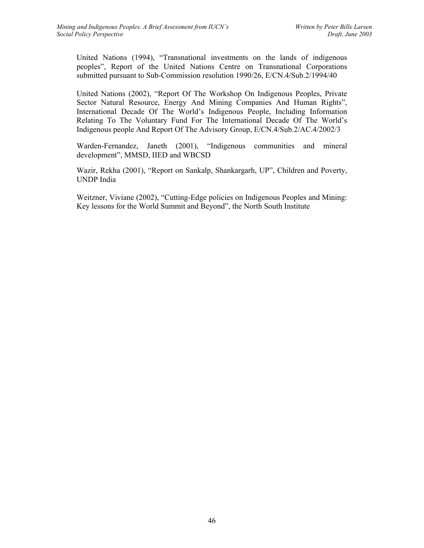United Nations (1994), "Transnational investments on the lands of indigenous peoples", Report of the United Nations Centre on Transnational Corporations submitted pursuant to Sub-Commission resolution 1990/26, E/CN.4/Sub.2/1994/40

United Nations (2002), "Report Of The Workshop On Indigenous Peoples, Private Sector Natural Resource, Energy And Mining Companies And Human Rights", International Decade Of The World's Indigenous People, Including Information Relating To The Voluntary Fund For The International Decade Of The World's Indigenous people And Report Of The Advisory Group, E/CN.4/Sub.2/AC.4/2002/3

Warden-Fernandez, Janeth (2001), "Indigenous communities and mineral development", MMSD, IIED and WBCSD

Wazir, Rekha (2001), "Report on Sankalp, Shankargarh, UP", Children and Poverty, UNDP India

Weitzner, Viviane (2002), "Cutting-Edge policies on Indigenous Peoples and Mining: Key lessons for the World Summit and Beyond", the North South Institute